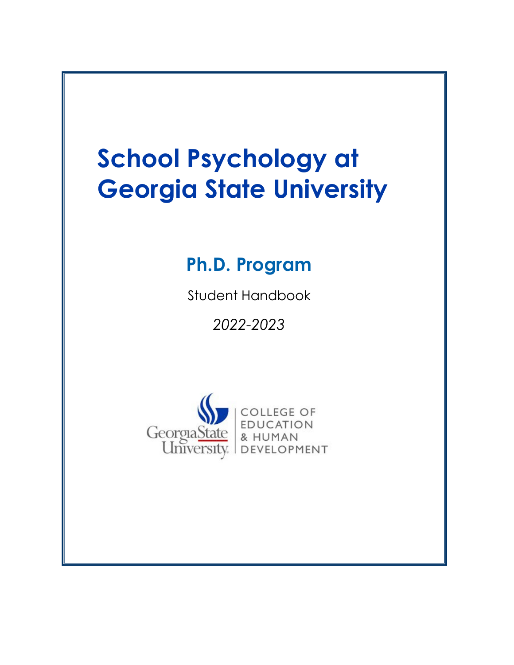# **School Psychology at Georgia State University**

## **Ph.D. Program**

Student Handbook

*2022-2023*

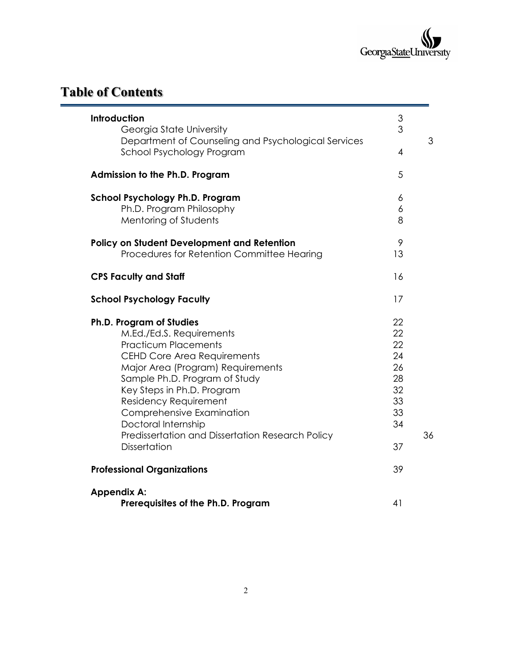

## **Table of Contents**

| Introduction                                                                    | $\ensuremath{\mathsf{3}}$<br>3 |  |
|---------------------------------------------------------------------------------|--------------------------------|--|
| Georgia State University<br>Department of Counseling and Psychological Services |                                |  |
| School Psychology Program                                                       | $\overline{4}$                 |  |
|                                                                                 |                                |  |
| Admission to the Ph.D. Program                                                  | 5                              |  |
| <b>School Psychology Ph.D. Program</b>                                          | 6                              |  |
| Ph.D. Program Philosophy                                                        | 6                              |  |
| Mentoring of Students                                                           | 8                              |  |
| <b>Policy on Student Development and Retention</b>                              | 9                              |  |
| Procedures for Retention Committee Hearing                                      | 13                             |  |
| <b>CPS Faculty and Staff</b>                                                    | 16                             |  |
| <b>School Psychology Faculty</b>                                                | 17                             |  |
| Ph.D. Program of Studies                                                        | 22                             |  |
| M.Ed./Ed.S. Requirements                                                        | 22                             |  |
| <b>Practicum Placements</b>                                                     | 22                             |  |
| <b>CEHD Core Area Requirements</b>                                              | 24                             |  |
| Major Area (Program) Requirements                                               | 26                             |  |
| Sample Ph.D. Program of Study                                                   | 28                             |  |
| Key Steps in Ph.D. Program                                                      | 32                             |  |
| Residency Requirement                                                           | 33                             |  |
| Comprehensive Examination                                                       | 33                             |  |
| Doctoral Internship                                                             | 34                             |  |
| Predissertation and Dissertation Research Policy                                |                                |  |
| <b>Dissertation</b>                                                             | 37                             |  |
| <b>Professional Organizations</b>                                               | 39                             |  |
| <b>Appendix A:</b>                                                              |                                |  |
| Prerequisites of the Ph.D. Program                                              | 41                             |  |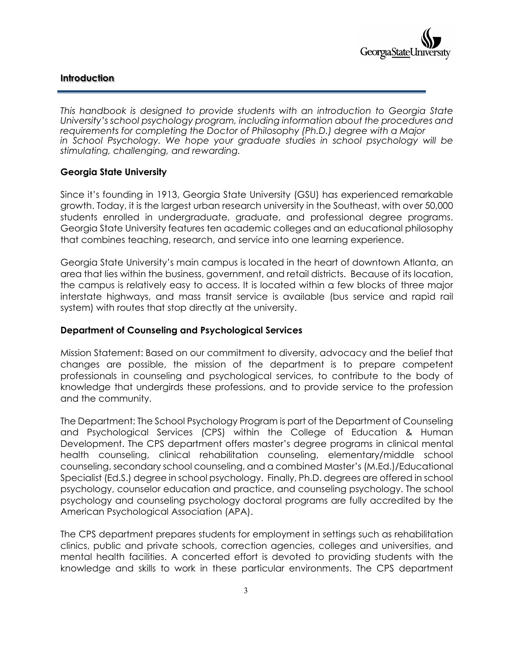#### **Introduction**

*This handbook is designed to provide students with an introduction to Georgia State University's school psychology program, including information about the procedures and requirements for completing the Doctor of Philosophy (Ph.D.) degree with a Major in School Psychology. We hope your graduate studies in school psychology will be stimulating, challenging, and rewarding.* 

#### **Georgia State University**

Since it's founding in 1913, Georgia State University (GSU) has experienced remarkable growth. Today, it is the largest urban research university in the Southeast, with over 50,000 students enrolled in undergraduate, graduate, and professional degree programs. Georgia State University features ten academic colleges and an educational philosophy that combines teaching, research, and service into one learning experience.

Georgia State University's main campus is located in the heart of downtown Atlanta, an area that lies within the business, government, and retail districts. Because of its location, the campus is relatively easy to access. It is located within a few blocks of three major interstate highways, and mass transit service is available (bus service and rapid rail system) with routes that stop directly at the university.

#### **Department of Counseling and Psychological Services**

Mission Statement: Based on our commitment to diversity, advocacy and the belief that changes are possible, the mission of the department is to prepare competent professionals in counseling and psychological services, to contribute to the body of knowledge that undergirds these professions, and to provide service to the profession and the community.

The Department: The School Psychology Program is part of the Department of Counseling and Psychological Services (CPS) within the College of Education & Human Development. The CPS department offers master's degree programs in clinical mental health counseling, clinical rehabilitation counseling, elementary/middle school counseling, secondary school counseling, and a combined Master's (M.Ed.)/Educational Specialist (Ed.S.) degree in school psychology. Finally, Ph.D. degrees are offered in school psychology, counselor education and practice, and counseling psychology. The school psychology and counseling psychology doctoral programs are fully accredited by the American Psychological Association (APA).

The CPS department prepares students for employment in settings such as rehabilitation clinics, public and private schools, correction agencies, colleges and universities, and mental health facilities. A concerted effort is devoted to providing students with the knowledge and skills to work in these particular environments. The CPS department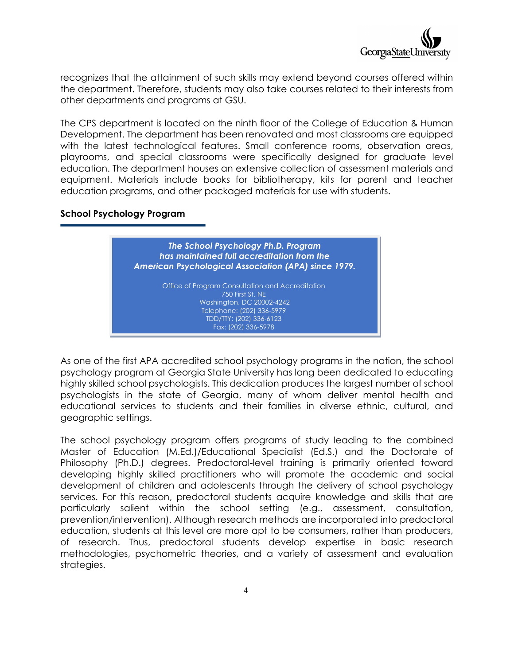

recognizes that the attainment of such skills may extend beyond courses offered within the department. Therefore, students may also take courses related to their interests from other departments and programs at GSU.

The CPS department is located on the ninth floor of the College of Education & Human Development. The department has been renovated and most classrooms are equipped with the latest technological features. Small conference rooms, observation areas, playrooms, and special classrooms were specifically designed for graduate level education. The department houses an extensive collection of assessment materials and equipment. Materials include books for bibliotherapy, kits for parent and teacher education programs, and other packaged materials for use with students.

#### **School Psychology Program**

*The School Psychology Ph.D. Program has maintained full accreditation from the American Psychological Association (APA) since 1979.*

Office of Program Consultation and Accreditation 750 First St, NE Washington, DC 20002-4242 Telephone: (202) 336-5979 TDD/TTY: (202) 336-6123 Fax: (202) 336-5978

As one of the first APA accredited school psychology programs in the nation, the school psychology program at Georgia State University has long been dedicated to educating highly skilled school psychologists. This dedication produces the largest number of school psychologists in the state of Georgia, many of whom deliver mental health and educational services to students and their families in diverse ethnic, cultural, and geographic settings.

The school psychology program offers programs of study leading to the combined Master of Education (M.Ed.)/Educational Specialist (Ed.S.) and the Doctorate of Philosophy (Ph.D.) degrees. Predoctoral-level training is primarily oriented toward developing highly skilled practitioners who will promote the academic and social development of children and adolescents through the delivery of school psychology services. For this reason, predoctoral students acquire knowledge and skills that are particularly salient within the school setting (e.g., assessment, consultation, prevention/intervention). Although research methods are incorporated into predoctoral education, students at this level are more apt to be consumers, rather than producers, of research. Thus, predoctoral students develop expertise in basic research methodologies, psychometric theories, and a variety of assessment and evaluation strategies.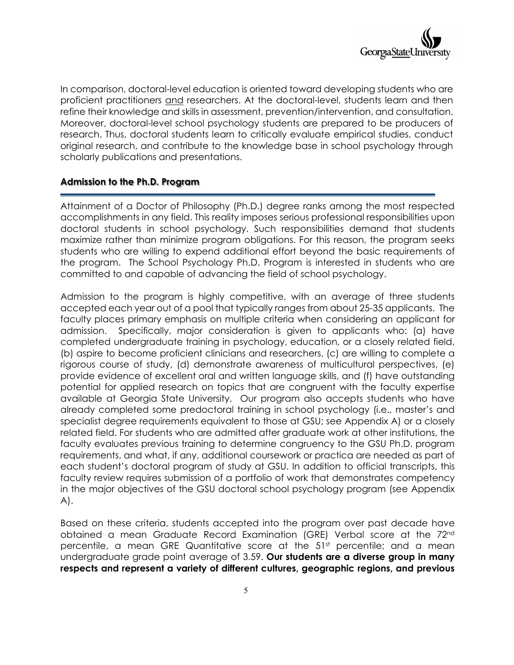

In comparison, doctoral-level education is oriented toward developing students who are proficient practitioners and researchers. At the doctoral-level, students learn and then refine their knowledge and skills in assessment, prevention/intervention, and consultation. Moreover, doctoral-level school psychology students are prepared to be producers of research. Thus, doctoral students learn to critically evaluate empirical studies, conduct original research, and contribute to the knowledge base in school psychology through scholarly publications and presentations.

#### **Admission to the Ph.D. Program**

Attainment of a Doctor of Philosophy (Ph.D.) degree ranks among the most respected accomplishments in any field. This reality imposes serious professional responsibilities upon doctoral students in school psychology. Such responsibilities demand that students maximize rather than minimize program obligations. For this reason, the program seeks students who are willing to expend additional effort beyond the basic requirements of the program. The School Psychology Ph.D. Program is interested in students who are committed to and capable of advancing the field of school psychology.

Admission to the program is highly competitive, with an average of three students accepted each year out of a pool that typically ranges from about 25-35 applicants. The faculty places primary emphasis on multiple criteria when considering an applicant for admission. Specifically, major consideration is given to applicants who: (a) have completed undergraduate training in psychology, education, or a closely related field, (b) aspire to become proficient clinicians and researchers, (c) are willing to complete a rigorous course of study, (d) demonstrate awareness of multicultural perspectives, (e) provide evidence of excellent oral and written language skills, and (f) have outstanding potential for applied research on topics that are congruent with the faculty expertise available at Georgia State University. Our program also accepts students who have already completed some predoctoral training in school psychology (i.e., master's and specialist degree requirements equivalent to those at GSU; see Appendix A) or a closely related field. For students who are admitted after graduate work at other institutions, the faculty evaluates previous training to determine congruency to the GSU Ph.D. program requirements, and what, if any, additional coursework or practica are needed as part of each student's doctoral program of study at GSU. In addition to official transcripts, this faculty review requires submission of a portfolio of work that demonstrates competency in the major objectives of the GSU doctoral school psychology program (see Appendix A).

Based on these criteria, students accepted into the program over past decade have obtained a mean Graduate Record Examination (GRE) Verbal score at the 72nd percentile, a mean GRE Quantitative score at the  $51<sup>st</sup>$  percentile; and a mean undergraduate grade point average of 3.59. **Our students are a diverse group in many respects and represent a variety of different cultures, geographic regions, and previous**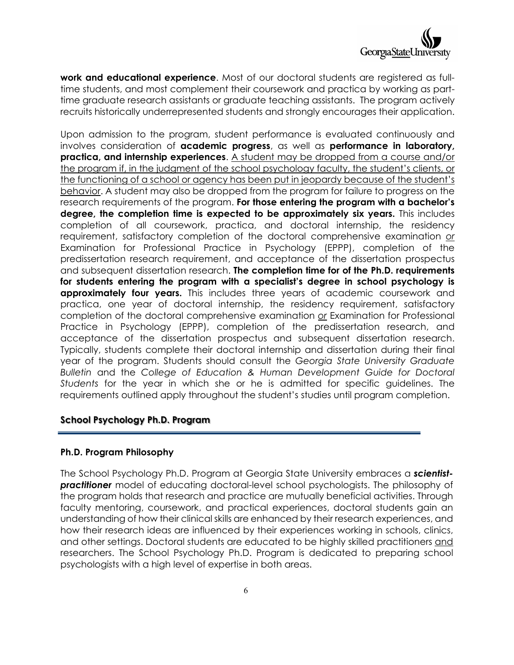

**work and educational experience**. Most of our doctoral students are registered as fulltime students, and most complement their coursework and practica by working as parttime graduate research assistants or graduate teaching assistants. The program actively recruits historically underrepresented students and strongly encourages their application.

Upon admission to the program, student performance is evaluated continuously and involves consideration of **academic progress**, as well as **performance in laboratory, practica, and internship experiences**. A student may be dropped from a course and/or the program if, in the judgment of the school psychology faculty, the student's clients, or the functioning of a school or agency has been put in jeopardy because of the student's behavior. A student may also be dropped from the program for failure to progress on the research requirements of the program. **For those entering the program with a bachelor's degree, the completion time is expected to be approximately six years.** This includes completion of all coursework, practica, and doctoral internship, the residency requirement, satisfactory completion of the doctoral comprehensive examination *or* Examination for Professional Practice in Psychology (EPPP), completion of the predissertation research requirement, and acceptance of the dissertation prospectus and subsequent dissertation research. **The completion time for of the Ph.D. requirements for students entering the program with a specialist's degree in school psychology is approximately four years.** This includes three years of academic coursework and practica, one year of doctoral internship, the residency requirement, satisfactory completion of the doctoral comprehensive examination *or* Examination for Professional Practice in Psychology (EPPP), completion of the predissertation research, and acceptance of the dissertation prospectus and subsequent dissertation research. Typically, students complete their doctoral internship and dissertation during their final year of the program. Students should consult the *Georgia State University Graduate Bulletin* and the *College of Education & Human Development Guide for Doctoral Students* for the year in which she or he is admitted for specific guidelines. The requirements outlined apply throughout the student's studies until program completion.

#### **School Psychology Ph.D. Program**

#### **Ph.D. Program Philosophy**

The School Psychology Ph.D. Program at Georgia State University embraces a *scientistpractitioner* model of educating doctoral-level school psychologists. The philosophy of the program holds that research and practice are mutually beneficial activities. Through faculty mentoring, coursework, and practical experiences, doctoral students gain an understanding of how their clinical skills are enhanced by their research experiences, and how their research ideas are influenced by their experiences working in schools, clinics, and other settings. Doctoral students are educated to be highly skilled practitioners and researchers. The School Psychology Ph.D. Program is dedicated to preparing school psychologists with a high level of expertise in both areas.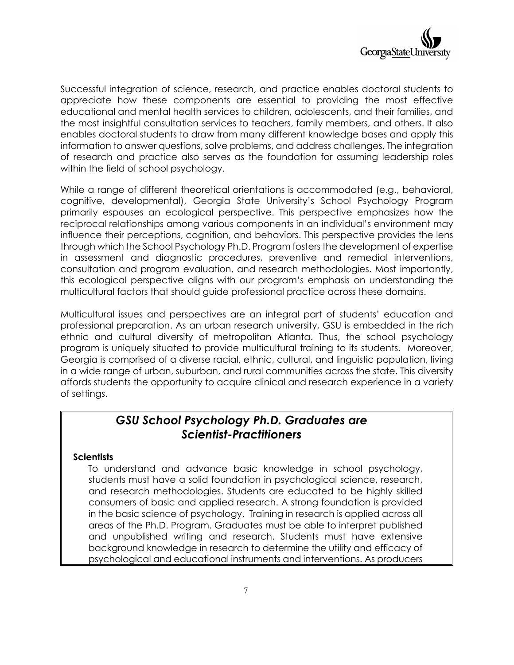

Successful integration of science, research, and practice enables doctoral students to appreciate how these components are essential to providing the most effective educational and mental health services to children, adolescents, and their families, and the most insightful consultation services to teachers, family members, and others. It also enables doctoral students to draw from many different knowledge bases and apply this information to answer questions, solve problems, and address challenges. The integration of research and practice also serves as the foundation for assuming leadership roles within the field of school psychology.

While a range of different theoretical orientations is accommodated (e.g., behavioral, cognitive, developmental), Georgia State University's School Psychology Program primarily espouses an ecological perspective. This perspective emphasizes how the reciprocal relationships among various components in an individual's environment may influence their perceptions, cognition, and behaviors. This perspective provides the lens through which the School Psychology Ph.D. Program fosters the development of expertise in assessment and diagnostic procedures, preventive and remedial interventions, consultation and program evaluation, and research methodologies. Most importantly, this ecological perspective aligns with our program's emphasis on understanding the multicultural factors that should guide professional practice across these domains.

Multicultural issues and perspectives are an integral part of students' education and professional preparation. As an urban research university, GSU is embedded in the rich ethnic and cultural diversity of metropolitan Atlanta. Thus, the school psychology program is uniquely situated to provide multicultural training to its students. Moreover, Georgia is comprised of a diverse racial, ethnic, cultural, and linguistic population, living in a wide range of urban, suburban, and rural communities across the state. This diversity affords students the opportunity to acquire clinical and research experience in a variety of settings.

### *GSU School Psychology Ph.D. Graduates are Scientist-Practitioners*

#### **Scientists**

To understand and advance basic knowledge in school psychology, students must have a solid foundation in psychological science, research, and research methodologies. Students are educated to be highly skilled consumers of basic and applied research. A strong foundation is provided in the basic science of psychology. Training in research is applied across all areas of the Ph.D. Program. Graduates must be able to interpret published and unpublished writing and research. Students must have extensive background knowledge in research to determine the utility and efficacy of psychological and educational instruments and interventions. As producers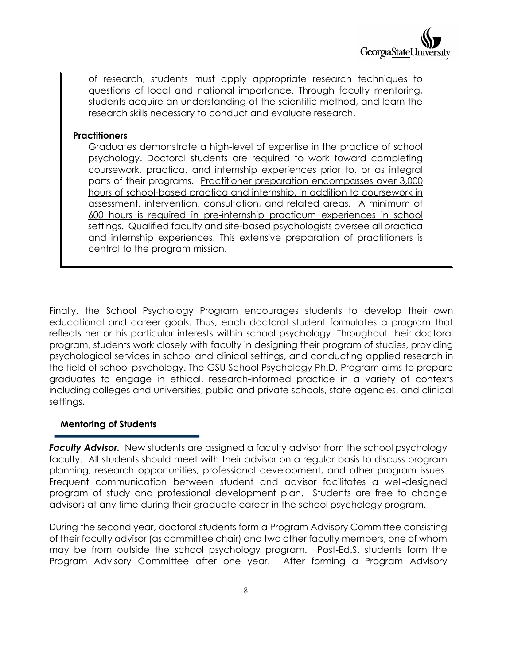of research, students must apply appropriate research techniques to questions of local and national importance. Through faculty mentoring, students acquire an understanding of the scientific method, and learn the research skills necessary to conduct and evaluate research.

#### **Practitioners**

Graduates demonstrate a high-level of expertise in the practice of school psychology. Doctoral students are required to work toward completing coursework, practica, and internship experiences prior to, or as integral parts of their programs. Practitioner preparation encompasses over 3,000 hours of school-based practica and internship, in addition to coursework in assessment, intervention, consultation, and related areas. A minimum of 600 hours is required in pre-internship practicum experiences in school settings. Qualified faculty and site-based psychologists oversee all practica and internship experiences. This extensive preparation of practitioners is central to the program mission.

Finally, the School Psychology Program encourages students to develop their own educational and career goals. Thus, each doctoral student formulates a program that reflects her or his particular interests within school psychology. Throughout their doctoral program, students work closely with faculty in designing their program of studies, providing psychological services in school and clinical settings, and conducting applied research in the field of school psychology. The GSU School Psychology Ph.D. Program aims to prepare graduates to engage in ethical, research-informed practice in a variety of contexts including colleges and universities, public and private schools, state agencies, and clinical settings.

#### **Mentoring of Students**

*Faculty Advisor.* New students are assigned a faculty advisor from the school psychology faculty. All students should meet with their advisor on a regular basis to discuss program planning, research opportunities, professional development, and other program issues. Frequent communication between student and advisor facilitates a well-designed program of study and professional development plan. Students are free to change advisors at any time during their graduate career in the school psychology program.

During the second year, doctoral students form a Program Advisory Committee consisting of their faculty advisor (as committee chair) and two other faculty members, one of whom may be from outside the school psychology program. Post-Ed.S. students form the Program Advisory Committee after one year. After forming a Program Advisory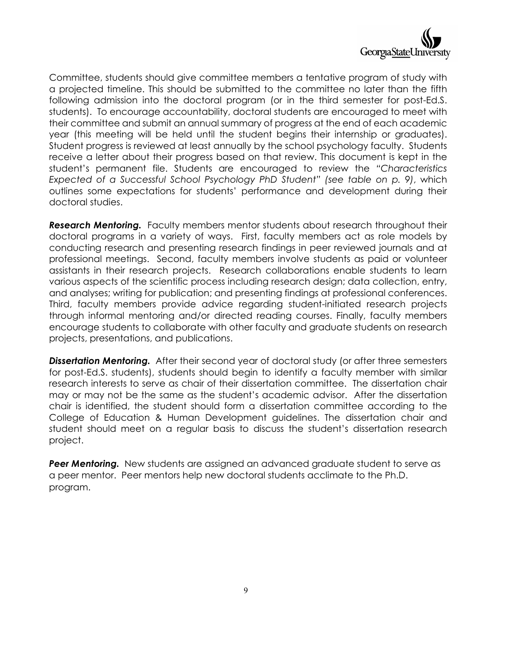

Committee, students should give committee members a tentative program of study with a projected timeline. This should be submitted to the committee no later than the fifth following admission into the doctoral program (or in the third semester for post-Ed.S. students). To encourage accountability, doctoral students are encouraged to meet with their committee and submit an annual summary of progress at the end of each academic year (this meeting will be held until the student begins their internship or graduates). Student progress is reviewed at least annually by the school psychology faculty. Students receive a letter about their progress based on that review. This document is kept in the student's permanent file. Students are encouraged to review the *"Characteristics Expected of a Successful School Psychology PhD Student" (see table on p. 9)*, which outlines some expectations for students' performance and development during their doctoral studies.

*Research Mentoring.* Faculty members mentor students about research throughout their doctoral programs in a variety of ways. First, faculty members act as role models by conducting research and presenting research findings in peer reviewed journals and at professional meetings. Second, faculty members involve students as paid or volunteer assistants in their research projects. Research collaborations enable students to learn various aspects of the scientific process including research design; data collection, entry, and analyses; writing for publication; and presenting findings at professional conferences. Third, faculty members provide advice regarding student-initiated research projects through informal mentoring and/or directed reading courses. Finally, faculty members encourage students to collaborate with other faculty and graduate students on research projects, presentations, and publications.

*Dissertation Mentoring.* After their second year of doctoral study (or after three semesters for post-Ed.S. students), students should begin to identify a faculty member with similar research interests to serve as chair of their dissertation committee. The dissertation chair may or may not be the same as the student's academic advisor. After the dissertation chair is identified, the student should form a dissertation committee according to the College of Education & Human Development guidelines. The dissertation chair and student should meet on a regular basis to discuss the student's dissertation research project.

**Peer Mentoring.** New students are assigned an advanced graduate student to serve as a peer mentor. Peer mentors help new doctoral students acclimate to the Ph.D. program.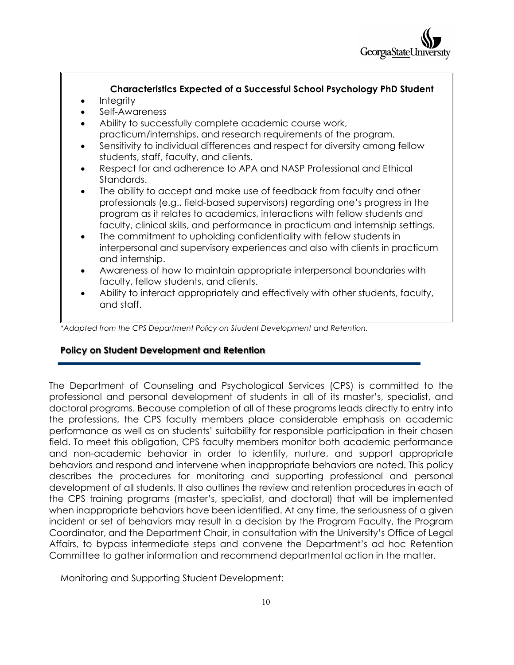

#### **Characteristics Expected of a Successful School Psychology PhD Student**

- Integrity
- Self-Awareness
- Ability to successfully complete academic course work, practicum/internships, and research requirements of the program.
- Sensitivity to individual differences and respect for diversity among fellow students, staff, faculty, and clients.
- Respect for and adherence to APA and NASP Professional and Ethical Standards.
- The ability to accept and make use of feedback from faculty and other professionals (e.g., field-based supervisors) regarding one's progress in the program as it relates to academics, interactions with fellow students and faculty, clinical skills, and performance in practicum and internship settings.
- The commitment to upholding confidentiality with fellow students in interpersonal and supervisory experiences and also with clients in practicum and internship.
- Awareness of how to maintain appropriate interpersonal boundaries with faculty, fellow students, and clients.
- Ability to interact appropriately and effectively with other students, faculty, and staff.

*\*Adapted from the CPS Department Policy on Student Development and Retention.*

#### **Policy on Student Development and Retention**

The Department of Counseling and Psychological Services (CPS) is committed to the professional and personal development of students in all of its master's, specialist, and doctoral programs. Because completion of all of these programs leads directly to entry into the professions, the CPS faculty members place considerable emphasis on academic performance as well as on students' suitability for responsible participation in their chosen field. To meet this obligation, CPS faculty members monitor both academic performance and non-academic behavior in order to identify, nurture, and support appropriate behaviors and respond and intervene when inappropriate behaviors are noted. This policy describes the procedures for monitoring and supporting professional and personal development of all students. It also outlines the review and retention procedures in each of the CPS training programs (master's, specialist, and doctoral) that will be implemented when inappropriate behaviors have been identified. At any time, the seriousness of a given incident or set of behaviors may result in a decision by the Program Faculty, the Program Coordinator, and the Department Chair, in consultation with the University's Office of Legal Affairs, to bypass intermediate steps and convene the Department's ad hoc Retention Committee to gather information and recommend departmental action in the matter.

Monitoring and Supporting Student Development: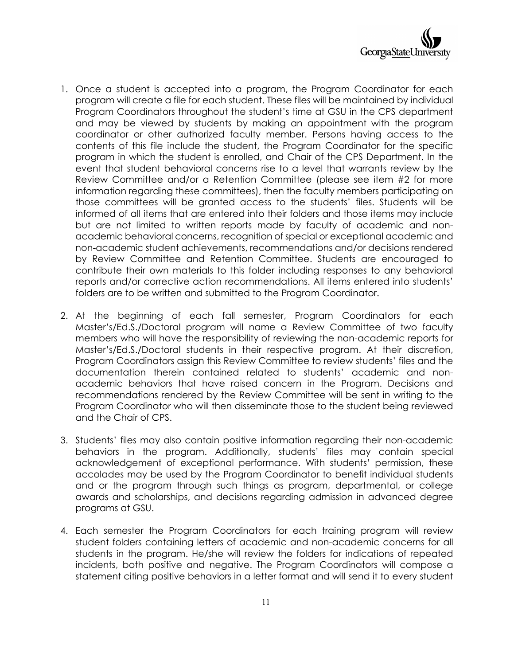

- 1. Once a student is accepted into a program, the Program Coordinator for each program will create a file for each student. These files will be maintained by individual Program Coordinators throughout the student's time at GSU in the CPS department and may be viewed by students by making an appointment with the program coordinator or other authorized faculty member. Persons having access to the contents of this file include the student, the Program Coordinator for the specific program in which the student is enrolled, and Chair of the CPS Department. In the event that student behavioral concerns rise to a level that warrants review by the Review Committee and/or a Retention Committee (please see item #2 for more information regarding these committees), then the faculty members participating on those committees will be granted access to the students' files. Students will be informed of all items that are entered into their folders and those items may include but are not limited to written reports made by faculty of academic and nonacademic behavioral concerns, recognition of special or exceptional academic and non-academic student achievements, recommendations and/or decisions rendered by Review Committee and Retention Committee. Students are encouraged to contribute their own materials to this folder including responses to any behavioral reports and/or corrective action recommendations. All items entered into students' folders are to be written and submitted to the Program Coordinator.
- 2. At the beginning of each fall semester, Program Coordinators for each Master's/Ed.S./Doctoral program will name a Review Committee of two faculty members who will have the responsibility of reviewing the non-academic reports for Master's/Ed.S./Doctoral students in their respective program. At their discretion, Program Coordinators assign this Review Committee to review students' files and the documentation therein contained related to students' academic and nonacademic behaviors that have raised concern in the Program. Decisions and recommendations rendered by the Review Committee will be sent in writing to the Program Coordinator who will then disseminate those to the student being reviewed and the Chair of CPS.
- 3. Students' files may also contain positive information regarding their non-academic behaviors in the program. Additionally, students' files may contain special acknowledgement of exceptional performance. With students' permission, these accolades may be used by the Program Coordinator to benefit individual students and or the program through such things as program, departmental, or college awards and scholarships, and decisions regarding admission in advanced degree programs at GSU.
- 4. Each semester the Program Coordinators for each training program will review student folders containing letters of academic and non-academic concerns for all students in the program. He/she will review the folders for indications of repeated incidents, both positive and negative. The Program Coordinators will compose a statement citing positive behaviors in a letter format and will send it to every student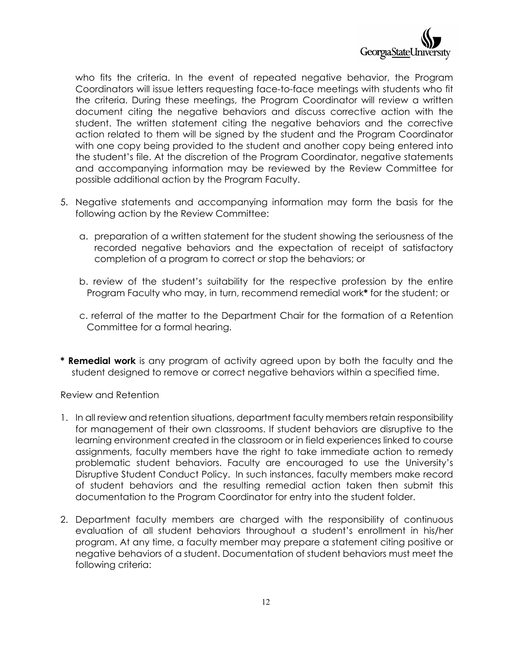

who fits the criteria. In the event of repeated negative behavior, the Program Coordinators will issue letters requesting face-to-face meetings with students who fit the criteria. During these meetings, the Program Coordinator will review a written document citing the negative behaviors and discuss corrective action with the student. The written statement citing the negative behaviors and the corrective action related to them will be signed by the student and the Program Coordinator with one copy being provided to the student and another copy being entered into the student's file. At the discretion of the Program Coordinator, negative statements and accompanying information may be reviewed by the Review Committee for possible additional action by the Program Faculty.

- 5. Negative statements and accompanying information may form the basis for the following action by the Review Committee:
	- a. preparation of a written statement for the student showing the seriousness of the recorded negative behaviors and the expectation of receipt of satisfactory completion of a program to correct or stop the behaviors; or
	- b. review of the student's suitability for the respective profession by the entire Program Faculty who may, in turn, recommend remedial work**\*** for the student; or
	- c. referral of the matter to the Department Chair for the formation of a Retention Committee for a formal hearing.
- **\* Remedial work** is any program of activity agreed upon by both the faculty and the student designed to remove or correct negative behaviors within a specified time.

#### Review and Retention

- 1. In all review and retention situations, department faculty members retain responsibility for management of their own classrooms. If student behaviors are disruptive to the learning environment created in the classroom or in field experiences linked to course assignments, faculty members have the right to take immediate action to remedy problematic student behaviors. Faculty are encouraged to use the University's Disruptive Student Conduct Policy. In such instances, faculty members make record of student behaviors and the resulting remedial action taken then submit this documentation to the Program Coordinator for entry into the student folder.
- 2. Department faculty members are charged with the responsibility of continuous evaluation of all student behaviors throughout a student's enrollment in his/her program. At any time, a faculty member may prepare a statement citing positive or negative behaviors of a student. Documentation of student behaviors must meet the following criteria: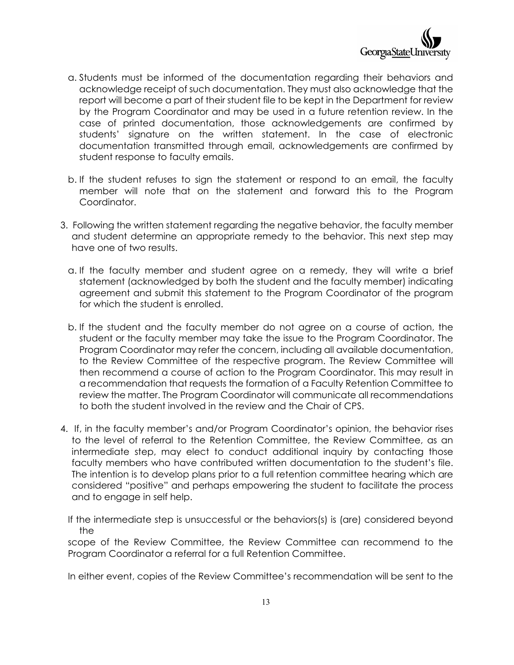

- a. Students must be informed of the documentation regarding their behaviors and acknowledge receipt of such documentation. They must also acknowledge that the report will become a part of their student file to be kept in the Department for review by the Program Coordinator and may be used in a future retention review. In the case of printed documentation, those acknowledgements are confirmed by students' signature on the written statement. In the case of electronic documentation transmitted through email, acknowledgements are confirmed by student response to faculty emails.
- b. If the student refuses to sign the statement or respond to an email, the faculty member will note that on the statement and forward this to the Program Coordinator.
- 3. Following the written statement regarding the negative behavior, the faculty member and student determine an appropriate remedy to the behavior. This next step may have one of two results.
	- a. If the faculty member and student agree on a remedy, they will write a brief statement (acknowledged by both the student and the faculty member) indicating agreement and submit this statement to the Program Coordinator of the program for which the student is enrolled.
	- b. If the student and the faculty member do not agree on a course of action, the student or the faculty member may take the issue to the Program Coordinator. The Program Coordinator may refer the concern, including all available documentation, to the Review Committee of the respective program. The Review Committee will then recommend a course of action to the Program Coordinator. This may result in a recommendation that requests the formation of a Faculty Retention Committee to review the matter. The Program Coordinator will communicate all recommendations to both the student involved in the review and the Chair of CPS.
- 4. If, in the faculty member's and/or Program Coordinator's opinion, the behavior rises to the level of referral to the Retention Committee, the Review Committee, as an intermediate step, may elect to conduct additional inquiry by contacting those faculty members who have contributed written documentation to the student's file. The intention is to develop plans prior to a full retention committee hearing which are considered "positive" and perhaps empowering the student to facilitate the process and to engage in self help.

If the intermediate step is unsuccessful or the behaviors(s) is (are) considered beyond the

scope of the Review Committee, the Review Committee can recommend to the Program Coordinator a referral for a full Retention Committee.

In either event, copies of the Review Committee's recommendation will be sent to the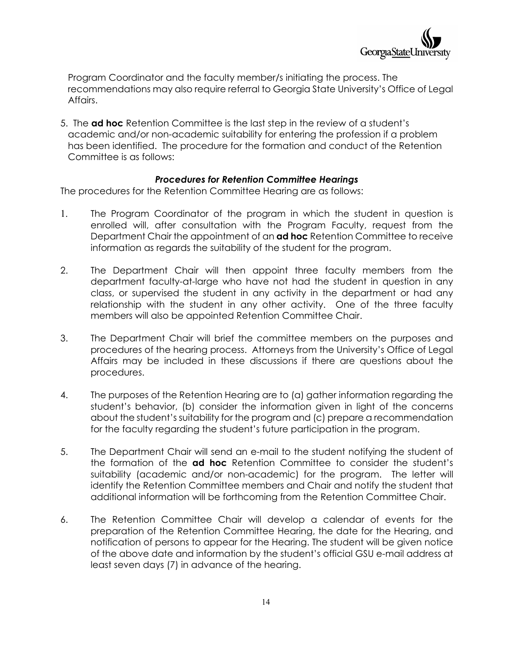

Program Coordinator and the faculty member/s initiating the process. The recommendations may also require referral to Georgia State University's Office of Legal Affairs.

5. The **ad hoc** Retention Committee is the last step in the review of a student's academic and/or non-academic suitability for entering the profession if a problem has been identified. The procedure for the formation and conduct of the Retention Committee is as follows:

#### *Procedures for Retention Committee Hearings*

The procedures for the Retention Committee Hearing are as follows:

- 1. The Program Coordinator of the program in which the student in question is enrolled will, after consultation with the Program Faculty, request from the Department Chair the appointment of an **ad hoc** Retention Committee to receive information as regards the suitability of the student for the program.
- 2. The Department Chair will then appoint three faculty members from the department faculty-at-large who have not had the student in question in any class, or supervised the student in any activity in the department or had any relationship with the student in any other activity. One of the three faculty members will also be appointed Retention Committee Chair.
- 3. The Department Chair will brief the committee members on the purposes and procedures of the hearing process. Attorneys from the University's Office of Legal Affairs may be included in these discussions if there are questions about the procedures.
- 4. The purposes of the Retention Hearing are to (a) gather information regarding the student's behavior, (b) consider the information given in light of the concerns about the student's suitability for the program and (c) prepare a recommendation for the faculty regarding the student's future participation in the program.
- 5. The Department Chair will send an e-mail to the student notifying the student of the formation of the **ad hoc** Retention Committee to consider the student's suitability (academic and/or non-academic) for the program. The letter will identify the Retention Committee members and Chair and notify the student that additional information will be forthcoming from the Retention Committee Chair.
- 6. The Retention Committee Chair will develop a calendar of events for the preparation of the Retention Committee Hearing, the date for the Hearing, and notification of persons to appear for the Hearing. The student will be given notice of the above date and information by the student's official GSU e-mail address at least seven days (7) in advance of the hearing.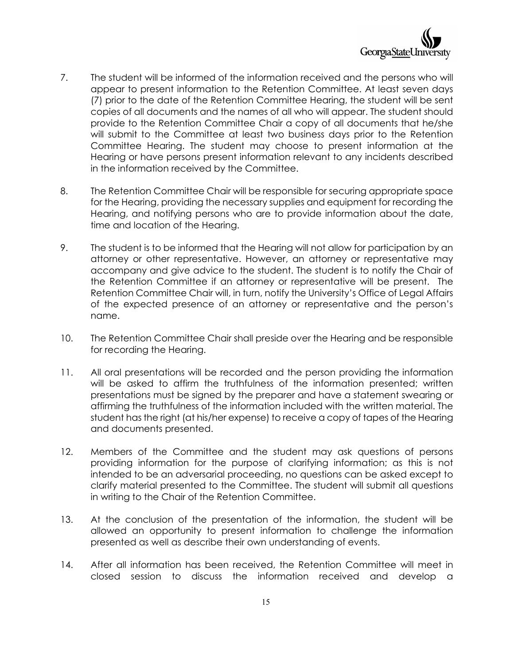

- 7. The student will be informed of the information received and the persons who will appear to present information to the Retention Committee. At least seven days (7) prior to the date of the Retention Committee Hearing, the student will be sent copies of all documents and the names of all who will appear. The student should provide to the Retention Committee Chair a copy of all documents that he/she will submit to the Committee at least two business days prior to the Retention Committee Hearing. The student may choose to present information at the Hearing or have persons present information relevant to any incidents described in the information received by the Committee.
- 8. The Retention Committee Chair will be responsible for securing appropriate space for the Hearing, providing the necessary supplies and equipment for recording the Hearing, and notifying persons who are to provide information about the date, time and location of the Hearing.
- 9. The student is to be informed that the Hearing will not allow for participation by an attorney or other representative. However, an attorney or representative may accompany and give advice to the student. The student is to notify the Chair of the Retention Committee if an attorney or representative will be present. The Retention Committee Chair will, in turn, notify the University's Office of Legal Affairs of the expected presence of an attorney or representative and the person's name.
- 10. The Retention Committee Chair shall preside over the Hearing and be responsible for recording the Hearing.
- 11. All oral presentations will be recorded and the person providing the information will be asked to affirm the truthfulness of the information presented; written presentations must be signed by the preparer and have a statement swearing or affirming the truthfulness of the information included with the written material. The student has the right (at his/her expense) to receive a copy of tapes of the Hearing and documents presented.
- 12. Members of the Committee and the student may ask questions of persons providing information for the purpose of clarifying information; as this is not intended to be an adversarial proceeding, no questions can be asked except to clarify material presented to the Committee. The student will submit all questions in writing to the Chair of the Retention Committee.
- 13. At the conclusion of the presentation of the information, the student will be allowed an opportunity to present information to challenge the information presented as well as describe their own understanding of events.
- 14. After all information has been received, the Retention Committee will meet in closed session to discuss the information received and develop a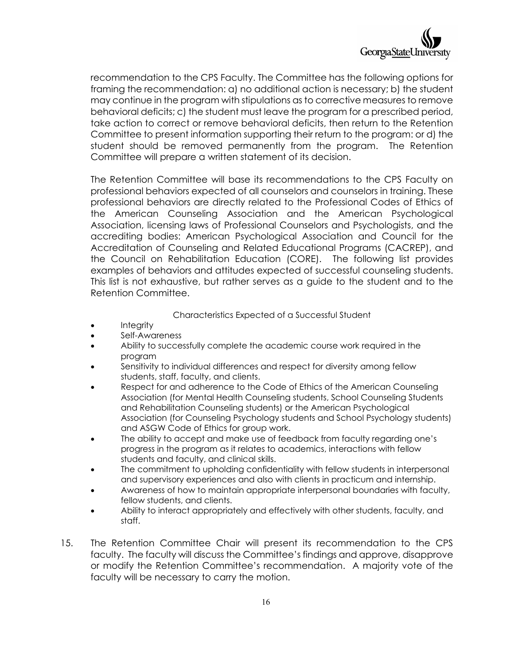

recommendation to the CPS Faculty. The Committee has the following options for framing the recommendation: a) no additional action is necessary; b) the student may continue in the program with stipulations as to corrective measures to remove behavioral deficits; c) the student must leave the program for a prescribed period, take action to correct or remove behavioral deficits, then return to the Retention Committee to present information supporting their return to the program: or d) the student should be removed permanently from the program. The Retention Committee will prepare a written statement of its decision.

The Retention Committee will base its recommendations to the CPS Faculty on professional behaviors expected of all counselors and counselors in training. These professional behaviors are directly related to the Professional Codes of Ethics of the American Counseling Association and the American Psychological Association, licensing laws of Professional Counselors and Psychologists, and the accrediting bodies: American Psychological Association and Council for the Accreditation of Counseling and Related Educational Programs (CACREP), and the Council on Rehabilitation Education (CORE). The following list provides examples of behaviors and attitudes expected of successful counseling students. This list is not exhaustive, but rather serves as a guide to the student and to the Retention Committee.

#### Characteristics Expected of a Successful Student

- Integrity
- Self-Awareness
- Ability to successfully complete the academic course work required in the program
- Sensitivity to individual differences and respect for diversity among fellow students, staff, faculty, and clients.
- Respect for and adherence to the Code of Ethics of the American Counseling Association (for Mental Health Counseling students, School Counseling Students and Rehabilitation Counseling students) or the American Psychological Association (for Counseling Psychology students and School Psychology students) and ASGW Code of Ethics for group work.
- The ability to accept and make use of feedback from faculty regarding one's progress in the program as it relates to academics, interactions with fellow students and faculty, and clinical skills.
- The commitment to upholding confidentiality with fellow students in interpersonal and supervisory experiences and also with clients in practicum and internship.
- Awareness of how to maintain appropriate interpersonal boundaries with faculty, fellow students, and clients.
- Ability to interact appropriately and effectively with other students, faculty, and staff.
- 15. The Retention Committee Chair will present its recommendation to the CPS faculty. The faculty will discuss the Committee's findings and approve, disapprove or modify the Retention Committee's recommendation. A majority vote of the faculty will be necessary to carry the motion.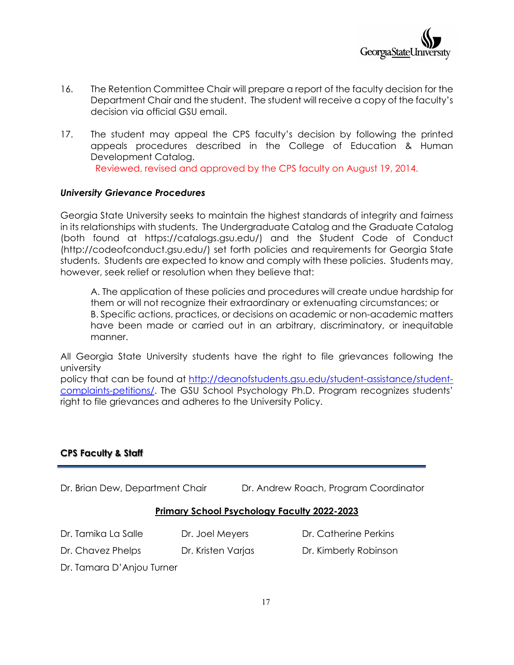

- 16. The Retention Committee Chair will prepare a report of the faculty decision for the Department Chair and the student. The student will receive a copy of the faculty's decision via official GSU email.
- 17. The student may appeal the CPS faculty's decision by following the printed appeals procedures described in the College of Education & Human Development Catalog. Reviewed, revised and approved by the CPS faculty on August 19, 2014.

#### *University Grievance Procedures*

Georgia State University seeks to maintain the highest standards of integrity and fairness in its relationships with students. The Undergraduate Catalog and the Graduate Catalog (both found at https://catalogs.gsu.edu/) and the Student Code of Conduct (http://codeofconduct.gsu.edu/) set forth policies and requirements for Georgia State students. Students are expected to know and comply with these policies. Students may, however, seek relief or resolution when they believe that:

A. The application of these policies and procedures will create undue hardship for them or will not recognize their extraordinary or extenuating circumstances; or B. Specific actions, practices, or decisions on academic or non-academic matters have been made or carried out in an arbitrary, discriminatory, or inequitable manner.

All Georgia State University students have the right to file grievances following the university

policy that can be found at [http://deanofstudents.gsu.edu/student-assistance/student](http://deanofstudents.gsu.edu/student-assistance/student-complaints-petitions/)[complaints-petitions/.](http://deanofstudents.gsu.edu/student-assistance/student-complaints-petitions/) The GSU School Psychology Ph.D. Program recognizes students' right to file grievances and adheres to the University Policy.

#### **CPS Faculty & Staff**

Dr. Brian Dew, Department Chair **Dr. Andrew Roach, Program Coordinator** 

#### **Primary School Psychology Faculty 2022-2023**

- Dr. Tamika La Salle Dr. Joel Meyers Dr. Catherine Perkins
- Dr. Chavez Phelps Dr. Kristen Varjas Dr. Kimberly Robinson

Dr. Tamara D'Anjou Turner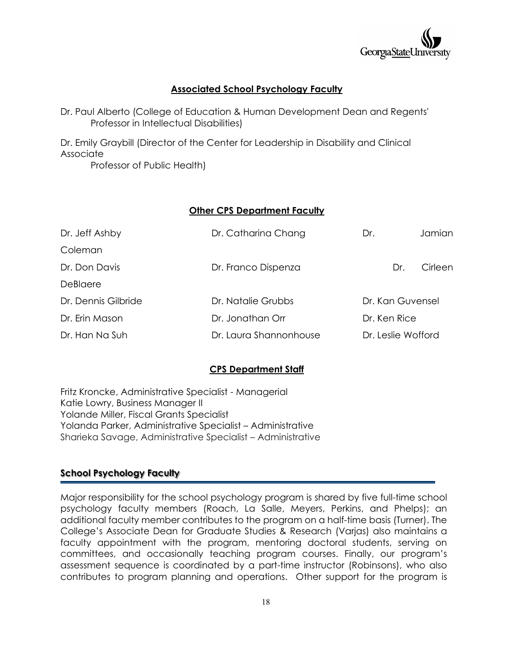

#### **Associated School Psychology Faculty**

Dr. Paul Alberto (College of Education & Human Development Dean and Regents' Professor in Intellectual Disabilities)

Dr. Emily Graybill (Director of the Center for Leadership in Disability and Clinical Associate

Professor of Public Health)

#### **Other CPS Department Faculty**

| Dr. Jeff Ashby      | Dr. Catharina Chang    | Dr.                | Jamian           |  |
|---------------------|------------------------|--------------------|------------------|--|
| Coleman             |                        |                    |                  |  |
| Dr. Don Davis       | Dr. Franco Dispenza    | Dr.                | Cirleen          |  |
| DeBlaere            |                        |                    |                  |  |
| Dr. Dennis Gilbride | Dr. Natalie Grubbs     |                    | Dr. Kan Guvensel |  |
| Dr. Erin Mason      | Dr. Jonathan Orr       | Dr. Ken Rice       |                  |  |
| Dr. Han Na Suh      | Dr. Laura Shannonhouse | Dr. Leslie Wofford |                  |  |

#### **CPS Department Staff**

Fritz Kroncke, Administrative Specialist - Managerial Katie Lowry, Business Manager II Yolande Miller, Fiscal Grants Specialist Yolanda Parker, Administrative Specialist – Administrative Sharieka Savage, Administrative Specialist – Administrative

#### **School Psychology Faculty**

Major responsibility for the school psychology program is shared by five full-time school psychology faculty members (Roach, La Salle, Meyers, Perkins, and Phelps); an additional faculty member contributes to the program on a half-time basis (Turner). The College's Associate Dean for Graduate Studies & Research (Varjas) also maintains a faculty appointment with the program, mentoring doctoral students, serving on committees, and occasionally teaching program courses. Finally, our program's assessment sequence is coordinated by a part-time instructor (Robinsons), who also contributes to program planning and operations. Other support for the program is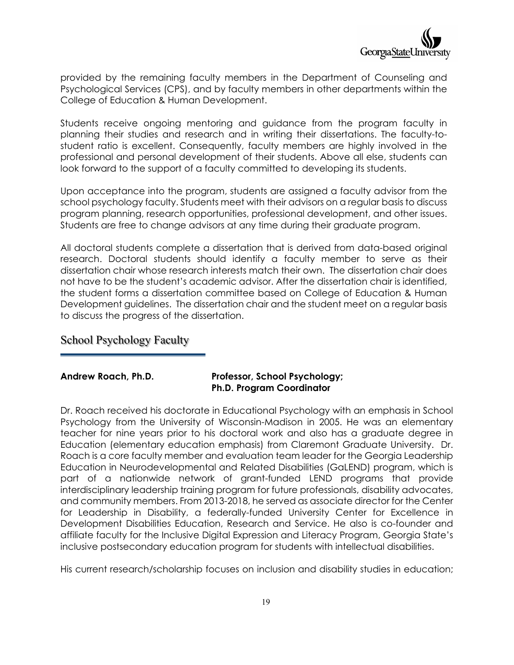

provided by the remaining faculty members in the Department of Counseling and Psychological Services (CPS), and by faculty members in other departments within the College of Education & Human Development.

Students receive ongoing mentoring and guidance from the program faculty in planning their studies and research and in writing their dissertations. The faculty-tostudent ratio is excellent. Consequently, faculty members are highly involved in the professional and personal development of their students. Above all else, students can look forward to the support of a faculty committed to developing its students.

Upon acceptance into the program, students are assigned a faculty advisor from the school psychology faculty. Students meet with their advisors on a regular basis to discuss program planning, research opportunities, professional development, and other issues. Students are free to change advisors at any time during their graduate program.

All doctoral students complete a dissertation that is derived from data-based original research. Doctoral students should identify a faculty member to serve as their dissertation chair whose research interests match their own. The dissertation chair does not have to be the student's academic advisor. After the dissertation chair is identified, the student forms a dissertation committee based on College of Education & Human Development guidelines. The dissertation chair and the student meet on a regular basis to discuss the progress of the dissertation.

#### School Psychology Faculty

#### **Andrew Roach, Ph.D. Professor, School Psychology; Ph.D. Program Coordinator**

Dr. Roach received his doctorate in Educational Psychology with an emphasis in School Psychology from the University of Wisconsin-Madison in 2005. He was an elementary teacher for nine years prior to his doctoral work and also has a graduate degree in Education (elementary education emphasis) from Claremont Graduate University. Dr. Roach is a core faculty member and evaluation team leader for the Georgia Leadership Education in Neurodevelopmental and Related Disabilities (GaLEND) program, which is part of a nationwide network of grant-funded LEND programs that provide interdisciplinary leadership training program for future professionals, disability advocates, and community members. From 2013-2018, he served as associate director for the Center for Leadership in Disability, a federally-funded University Center for Excellence in Development Disabilities Education, Research and Service. He also is co-founder and affiliate faculty for the Inclusive Digital Expression and Literacy Program, Georgia State's inclusive postsecondary education program for students with intellectual disabilities.

His current research/scholarship focuses on inclusion and disability studies in education;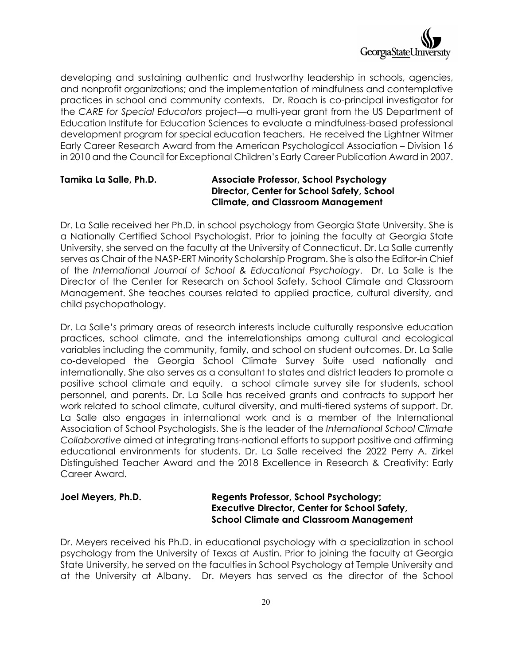

developing and sustaining authentic and trustworthy leadership in schools, agencies, and nonprofit organizations; and the implementation of mindfulness and contemplative practices in school and community contexts. Dr. Roach is co-principal investigator for the *CARE for Special Educators* project—a multi-year grant from the US Department of Education Institute for Education Sciences to evaluate a mindfulness-based professional development program for special education teachers. He received the Lightner Witmer Early Career Research Award from the American Psychological Association – Division 16 in 2010 and the Council for Exceptional Children's Early Career Publication Award in 2007.

#### **Tamika La Salle, Ph.D. Associate Professor, School Psychology Director, Center for School Safety, School Climate, and Classroom Management**

Dr. La Salle received her Ph.D. in school psychology from Georgia State University. She is a Nationally Certified School Psychologist. Prior to joining the faculty at Georgia State University, she served on the faculty at the University of Connecticut. Dr. La Salle currently serves as Chair of the NASP-ERT Minority Scholarship Program. She is also the Editor-in Chief of the *International Journal of School & Educational Psychology*. Dr. La Salle is the Director of the Center for Research on School Safety, School Climate and Classroom Management. She teaches courses related to applied practice, cultural diversity, and child psychopathology.

Dr. La Salle's primary areas of research interests include culturally responsive education practices, school climate, and the interrelationships among cultural and ecological variables including the community, family, and school on student outcomes. Dr. La Salle co-developed the Georgia School Climate Survey Suite used nationally and internationally. She also serves as a consultant to states and district leaders to promote a positive school climate and equity. a school climate survey site for students, school personnel, and parents. Dr. La Salle has received grants and contracts to support her work related to school climate, cultural diversity, and multi-tiered systems of support. Dr. La Salle also engages in international work and is a member of the International Association of School Psychologists. She is the leader of the *International School Climate Collaborative* aimed at integrating trans-national efforts to support positive and affirming educational environments for students. Dr. La Salle received the 2022 Perry A. Zirkel Distinguished Teacher Award and the 2018 Excellence in Research & Creativity: Early Career Award.

#### **Joel Meyers, Ph.D. Regents Professor, School Psychology; Executive Director, Center for School Safety, School Climate and Classroom Management**

Dr. Meyers received his Ph.D. in educational psychology with a specialization in school psychology from the University of Texas at Austin. Prior to joining the faculty at Georgia State University, he served on the faculties in School Psychology at Temple University and at the University at Albany. Dr. Meyers has served as the director of the School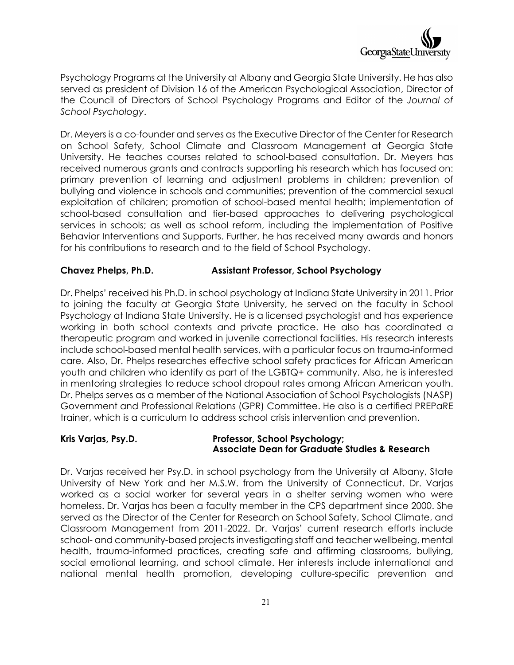

Psychology Programs at the University at Albany and Georgia State University. He has also served as president of Division 16 of the American Psychological Association, Director of the Council of Directors of School Psychology Programs and Editor of the *Journal of School Psychology*.

Dr. Meyers is a co-founder and serves as the Executive Director of the Center for Research on School Safety, School Climate and Classroom Management at Georgia State University. He teaches courses related to school-based consultation. Dr. Meyers has received numerous grants and contracts supporting his research which has focused on: primary prevention of learning and adjustment problems in children; prevention of bullying and violence in schools and communities; prevention of the commercial sexual exploitation of children; promotion of school-based mental health; implementation of school-based consultation and tier-based approaches to delivering psychological services in schools; as well as school reform, including the implementation of Positive Behavior Interventions and Supports. Further, he has received many awards and honors for his contributions to research and to the field of School Psychology.

#### **Chavez Phelps, Ph.D. Assistant Professor, School Psychology**

Dr. Phelps' received his Ph.D. in school psychology at Indiana State University in 2011. Prior to joining the faculty at Georgia State University, he served on the faculty in School Psychology at Indiana State University. He is a licensed psychologist and has experience working in both school contexts and private practice. He also has coordinated a therapeutic program and worked in juvenile correctional facilities. His research interests include school-based mental health services, with a particular focus on trauma-informed care. Also, Dr. Phelps researches effective school safety practices for African American youth and children who identify as part of the LGBTQ+ community. Also, he is interested in mentoring strategies to reduce school dropout rates among African American youth. Dr. Phelps serves as a member of the National Association of School Psychologists (NASP) Government and Professional Relations (GPR) Committee. He also is a certified PREPaRE trainer, which is a curriculum to address school crisis intervention and prevention.

#### **Kris Varjas, Psy.D. Professor, School Psychology; Associate Dean for Graduate Studies & Research**

Dr. Varjas received her Psy.D. in school psychology from the University at Albany, State University of New York and her M.S.W. from the University of Connecticut. Dr. Varjas worked as a social worker for several years in a shelter serving women who were homeless. Dr. Varjas has been a faculty member in the CPS department since 2000. She served as the Director of the Center for Research on School Safety, School Climate, and Classroom Management from 2011-2022. Dr. Varjas' current research efforts include school- and community-based projects investigating staff and teacher wellbeing, mental health, trauma-informed practices, creating safe and affirming classrooms, bullying, social emotional learning, and school climate. Her interests include international and national mental health promotion, developing culture-specific prevention and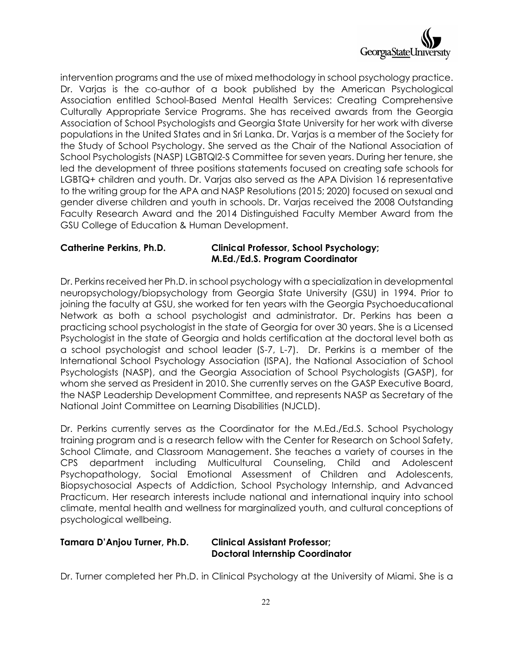

intervention programs and the use of mixed methodology in school psychology practice. Dr. Varjas is the co-author of a book published by the American Psychological Association entitled School-Based Mental Health Services: Creating Comprehensive Culturally Appropriate Service Programs. She has received awards from the Georgia Association of School Psychologists and Georgia State University for her work with diverse populations in the United States and in Sri Lanka. Dr. Varjas is a member of the Society for the Study of School Psychology. She served as the Chair of the National Association of School Psychologists (NASP) LGBTQI2-S Committee for seven years. During her tenure, she led the development of three positions statements focused on creating safe schools for LGBTQ+ children and youth. Dr. Varjas also served as the APA Division 16 representative to the writing group for the APA and NASP Resolutions (2015; 2020) focused on sexual and gender diverse children and youth in schools. Dr. Varjas received the 2008 Outstanding Faculty Research Award and the 2014 Distinguished Faculty Member Award from the GSU College of Education & Human Development.

#### **Catherine Perkins, Ph.D. Clinical Professor, School Psychology; M.Ed./Ed.S. Program Coordinator**

Dr. Perkins received her Ph.D. in school psychology with a specialization in developmental neuropsychology/biopsychology from Georgia State University (GSU) in 1994. Prior to joining the faculty at GSU, she worked for ten years with the Georgia Psychoeducational Network as both a school psychologist and administrator. Dr. Perkins has been a practicing school psychologist in the state of Georgia for over 30 years. She is a Licensed Psychologist in the state of Georgia and holds certification at the doctoral level both as a school psychologist and school leader (S-7, L-7). Dr. Perkins is a member of the International School Psychology Association (ISPA), the National Association of School Psychologists (NASP), and the Georgia Association of School Psychologists (GASP), for whom she served as President in 2010. She currently serves on the GASP Executive Board, the NASP Leadership Development Committee, and represents NASP as Secretary of the National Joint Committee on Learning Disabilities (NJCLD).

Dr. Perkins currently serves as the Coordinator for the M.Ed./Ed.S. School Psychology training program and is a research fellow with the Center for Research on School Safety, School Climate, and Classroom Management. She teaches a variety of courses in the CPS department including Multicultural Counseling, Child and Adolescent Psychopathology, Social Emotional Assessment of Children and Adolescents, Biopsychosocial Aspects of Addiction, School Psychology Internship, and Advanced Practicum. Her research interests include national and international inquiry into school climate, mental health and wellness for marginalized youth, and cultural conceptions of psychological wellbeing.

#### **Tamara D'Anjou Turner, Ph.D. Clinical Assistant Professor; Doctoral Internship Coordinator**

Dr. Turner completed her Ph.D. in Clinical Psychology at the University of Miami. She is a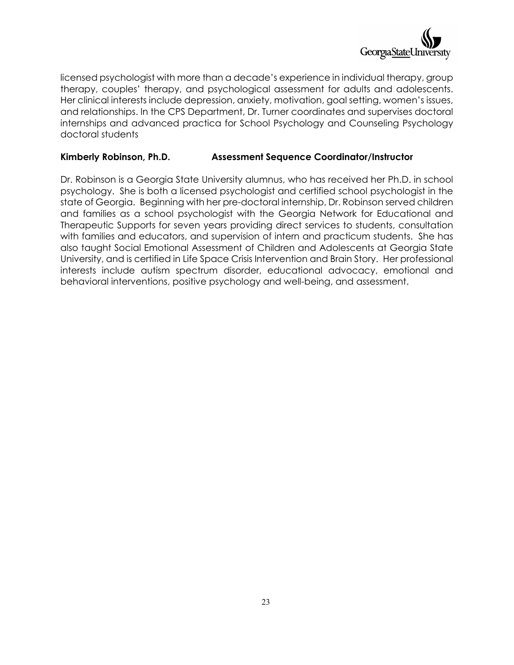

licensed psychologist with more than a decade's experience in individual therapy, group therapy, couples' therapy, and psychological assessment for adults and adolescents. Her clinical interests include depression, anxiety, motivation, goal setting, women's issues, and relationships. In the CPS Department, Dr. Turner coordinates and supervises doctoral internships and advanced practica for School Psychology and Counseling Psychology doctoral students

#### **Kimberly Robinson, Ph.D. Assessment Sequence Coordinator/Instructor**

Dr. Robinson is a Georgia State University alumnus, who has received her Ph.D. in school psychology. She is both a licensed psychologist and certified school psychologist in the state of Georgia. Beginning with her pre-doctoral internship, Dr. Robinson served children and families as a school psychologist with the Georgia Network for Educational and Therapeutic Supports for seven years providing direct services to students, consultation with families and educators, and supervision of intern and practicum students. She has also taught Social Emotional Assessment of Children and Adolescents at Georgia State University, and is certified in Life Space Crisis Intervention and Brain Story. Her professional interests include autism spectrum disorder, educational advocacy, emotional and behavioral interventions, positive psychology and well-being, and assessment.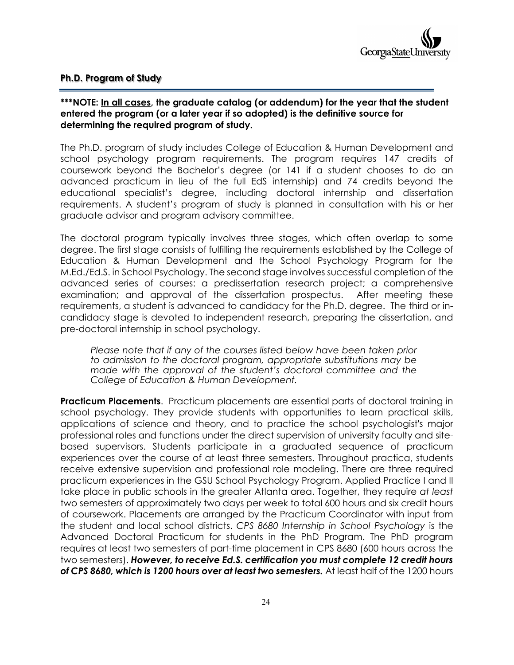#### **Ph.D. Program of Study**

#### **\*\*\*NOTE: In all cases, the graduate catalog (or addendum) for the year that the student entered the program (or a later year if so adopted) is the definitive source for determining the required program of study.**

The Ph.D. program of study includes College of Education & Human Development and school psychology program requirements. The program requires 147 credits of coursework beyond the Bachelor's degree (or 141 if a student chooses to do an advanced practicum in lieu of the full EdS internship) and 74 credits beyond the educational specialist's degree, including doctoral internship and dissertation requirements. A student's program of study is planned in consultation with his or her graduate advisor and program advisory committee.

The doctoral program typically involves three stages, which often overlap to some degree. The first stage consists of fulfilling the requirements established by the College of Education & Human Development and the School Psychology Program for the M.Ed./Ed.S. in School Psychology. The second stage involves successful completion of the advanced series of courses: a predissertation research project; a comprehensive examination; and approval of the dissertation prospectus. After meeting these requirements, a student is advanced to candidacy for the Ph.D. degree. The third or incandidacy stage is devoted to independent research, preparing the dissertation, and pre-doctoral internship in school psychology.

*Please note that if any of the courses listed below have been taken prior to admission to the doctoral program, appropriate substitutions may be made with the approval of the student's doctoral committee and the College of Education & Human Development.* 

**Practicum Placements**. Practicum placements are essential parts of doctoral training in school psychology. They provide students with opportunities to learn practical skills, applications of science and theory, and to practice the school psychologist's major professional roles and functions under the direct supervision of university faculty and sitebased supervisors. Students participate in a graduated sequence of practicum experiences over the course of at least three semesters. Throughout practica, students receive extensive supervision and professional role modeling. There are three required practicum experiences in the GSU School Psychology Program. Applied Practice I and II take place in public schools in the greater Atlanta area. Together, they require *at least*  two semesters of approximately two days per week to total 600 hours and six credit hours of coursework. Placements are arranged by the Practicum Coordinator with input from the student and local school districts. *CPS 8680 Internship in School Psychology* is the Advanced Doctoral Practicum for students in the PhD Program. The PhD program requires at least two semesters of part-time placement in CPS 8680 (600 hours across the two semesters). *However, to receive Ed.S. certification you must complete 12 credit hours of CPS 8680, which is 1200 hours over at least two semesters.* At least half of the 1200 hours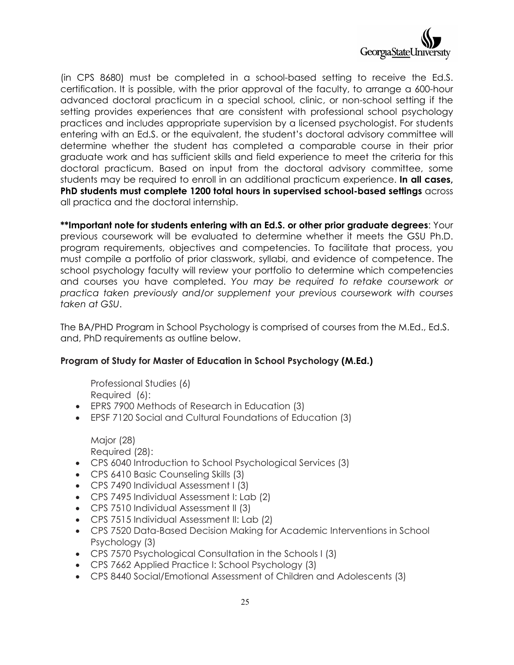

(in CPS 8680) must be completed in a school-based setting to receive the Ed.S. certification. It is possible, with the prior approval of the faculty, to arrange a 600-hour advanced doctoral practicum in a special school, clinic, or non-school setting if the setting provides experiences that are consistent with professional school psychology practices and includes appropriate supervision by a licensed psychologist. For students entering with an Ed.S. or the equivalent, the student's doctoral advisory committee will determine whether the student has completed a comparable course in their prior graduate work and has sufficient skills and field experience to meet the criteria for this doctoral practicum. Based on input from the doctoral advisory committee, some students may be required to enroll in an additional practicum experience. **In all cases, PhD students must complete 1200 total hours in supervised school-based settings** across all practica and the doctoral internship.

**\*\*Important note for students entering with an Ed.S. or other prior graduate degrees**: Your previous coursework will be evaluated to determine whether it meets the GSU Ph.D. program requirements, objectives and competencies. To facilitate that process, you must compile a portfolio of prior classwork, syllabi, and evidence of competence. The school psychology faculty will review your portfolio to determine which competencies and courses you have completed. *You may be required to retake coursework or practica taken previously and/or supplement your previous coursework with courses taken at GSU*.

The BA/PHD Program in School Psychology is comprised of courses from the M.Ed., Ed.S. and, PhD requirements as outline below.

#### **Program of Study for Master of Education in School Psychology (M.Ed.)**

Professional Studies (6) Required (6):

- EPRS 7900 Methods of Research in Education (3)
- EPSF 7120 Social and Cultural Foundations of Education (3)

Major (28) Required (28):

- CPS 6040 Introduction to School Psychological Services (3)
- CPS 6410 Basic Counseling Skills (3)
- CPS 7490 Individual Assessment I (3)
- CPS 7495 Individual Assessment I: Lab (2)
- CPS 7510 Individual Assessment II (3)
- CPS 7515 Individual Assessment II: Lab (2)
- CPS 7520 Data-Based Decision Making for Academic Interventions in School Psychology (3)
- CPS 7570 Psychological Consultation in the Schools I (3)
- CPS 7662 Applied Practice I: School Psychology (3)
- CPS 8440 Social/Emotional Assessment of Children and Adolescents (3)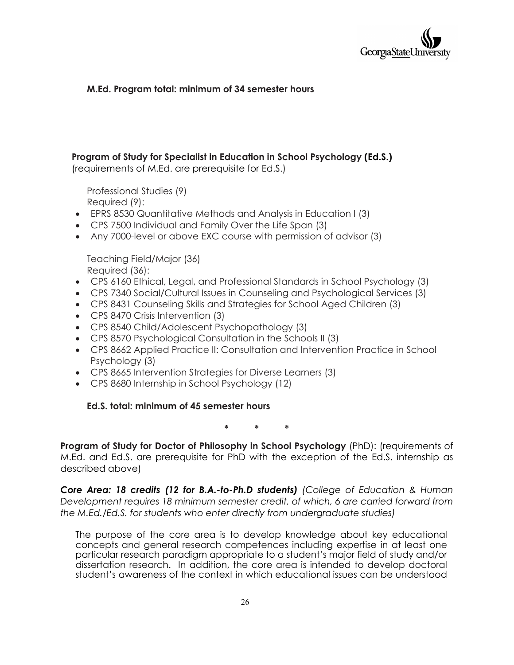

#### **M.Ed. Program total: minimum of 34 semester hours**

### **Program of Study for Specialist in Education in School Psychology (Ed.S.)**

(requirements of M.Ed. are prerequisite for Ed.S.)

Professional Studies (9) Required (9):

- EPRS 8530 Quantitative Methods and Analysis in Education I (3)
- CPS 7500 Individual and Family Over the Life Span (3)
- Any 7000-level or above EXC course with permission of advisor (3)

Teaching Field/Major (36) Required (36):

- CPS 6160 Ethical, Legal, and Professional Standards in School Psychology (3)
- CPS 7340 Social/Cultural Issues in Counseling and Psychological Services (3)
- CPS 8431 Counseling Skills and Strategies for School Aged Children (3)
- CPS 8470 Crisis Intervention (3)
- CPS 8540 Child/Adolescent Psychopathology (3)
- CPS 8570 Psychological Consultation in the Schools II (3)
- CPS 8662 Applied Practice II: Consultation and Intervention Practice in School Psychology (3)
- CPS 8665 Intervention Strategies for Diverse Learners (3)
- CPS 8680 Internship in School Psychology (12)

#### **Ed.S. total: minimum of 45 semester hours**

**\* \* \***

**Program of Study for Doctor of Philosophy in School Psychology** (PhD): (requirements of M.Ed. and Ed.S. are prerequisite for PhD with the exception of the Ed.S. internship as described above)

*Core Area: 18 credits (12 for B.A.-to-Ph.D students) (College of Education & Human Development requires 18 minimum semester credit, of which, 6 are carried forward from the M.Ed./Ed.S. for students who enter directly from undergraduate studies)*

The purpose of the core area is to develop knowledge about key educational concepts and general research competences including expertise in at least one particular research paradigm appropriate to a student's major field of study and/or dissertation research. In addition, the core area is intended to develop doctoral student's awareness of the context in which educational issues can be understood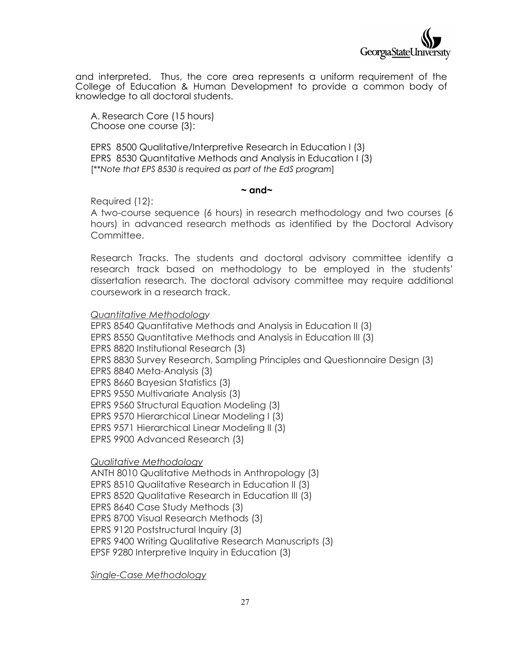

and interpreted. Thus, the core area represents a uniform requirement of the College of Education & Human Development to provide a common body of knowledge to all doctoral students.

A. Research Core (15 hours) Choose one course (3):

EPRS 8500 Qualitative/Interpretive Research in Education I (3) EPRS 8530 Quantitative Methods and Analysis in Education I (3) [\*\**Note that EPS 8530 is required as part of the EdS program*]

#### **~ and~**

Required (12):

A two-course sequence (6 hours) in research methodology and two courses (6 hours) in advanced research methods as identified by the Doctoral Advisory Committee.

Research Tracks. The students and doctoral advisory committee identify a research track based on methodology to be employed in the students' dissertation research. The doctoral advisory committee may require additional coursework in a research track.

*Quantitative Methodology*

EPRS 8540 Quantitative Methods and Analysis in Education II (3) EPRS 8550 Quantitative Methods and Analysis in Education III (3) EPRS 8820 Institutional Research (3) EPRS 8830 Survey Research, Sampling Principles and Questionnaire Design (3) EPRS 8840 Meta-Analysis (3) EPRS 8660 Bayesian Statistics (3) EPRS 9550 Multivariate Analysis (3) EPRS 9560 Structural Equation Modeling (3) EPRS 9570 Hierarchical Linear Modeling I (3) EPRS 9571 Hierarchical Linear Modeling II (3) EPRS 9900 Advanced Research (3)

*Qualitative Methodology*

ANTH 8010 Qualitative Methods in Anthropology (3) EPRS 8510 Qualitative Research in Education II (3) EPRS 8520 Qualitative Research in Education III (3) EPRS 8640 Case Study Methods (3) EPRS 8700 Visual Research Methods (3) EPRS 9120 Poststructural Inquiry (3) EPRS 9400 Writing Qualitative Research Manuscripts (3) EPSF 9280 Interpretive Inquiry in Education (3)

*Single-Case Methodology*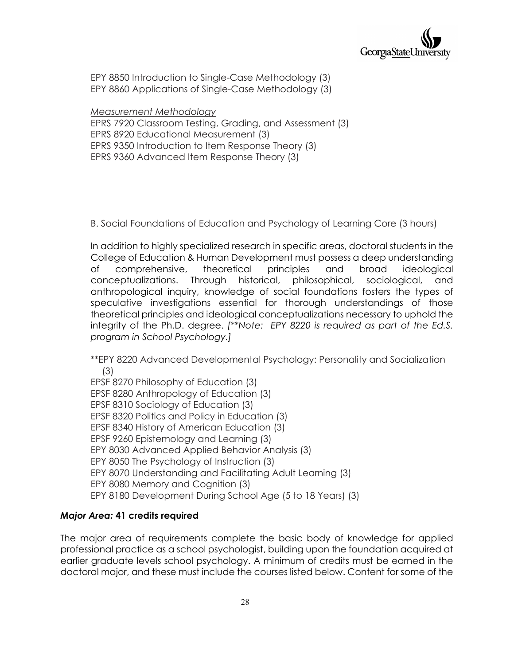

EPY 8850 Introduction to Single-Case Methodology (3) EPY 8860 Applications of Single-Case Methodology (3)

*Measurement Methodology* EPRS 7920 Classroom Testing, Grading, and Assessment (3) EPRS 8920 Educational Measurement (3) EPRS 9350 Introduction to Item Response Theory (3) EPRS 9360 Advanced Item Response Theory (3)

B. Social Foundations of Education and Psychology of Learning Core (3 hours)

In addition to highly specialized research in specific areas, doctoral students in the College of Education & Human Development must possess a deep understanding of comprehensive, theoretical principles and broad ideological conceptualizations. Through historical, philosophical, sociological, and anthropological inquiry, knowledge of social foundations fosters the types of speculative investigations essential for thorough understandings of those theoretical principles and ideological conceptualizations necessary to uphold the integrity of the Ph.D. degree. *[\*\*Note: EPY 8220 is required as part of the Ed.S. program in School Psychology.]*

\*\*EPY 8220 Advanced Developmental Psychology: Personality and Socialization (3)

EPSF 8270 Philosophy of Education (3) EPSF 8280 Anthropology of Education (3) EPSF 8310 Sociology of Education (3) EPSF 8320 Politics and Policy in Education (3) EPSF 8340 History of American Education (3) EPSF 9260 Epistemology and Learning (3) EPY 8030 Advanced Applied Behavior Analysis (3) EPY 8050 The Psychology of Instruction (3) EPY 8070 Understanding and Facilitating Adult Learning (3) EPY 8080 Memory and Cognition (3) EPY 8180 Development During School Age (5 to 18 Years) (3)

#### *Major Area:* **41 credits required**

The major area of requirements complete the basic body of knowledge for applied professional practice as a school psychologist, building upon the foundation acquired at earlier graduate levels school psychology. A minimum of credits must be earned in the doctoral major, and these must include the courses listed below. Content for some of the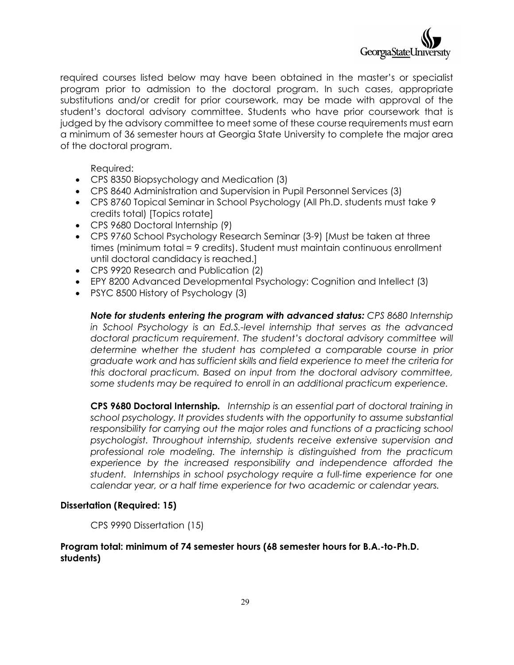

required courses listed below may have been obtained in the master's or specialist program prior to admission to the doctoral program. In such cases, appropriate substitutions and/or credit for prior coursework, may be made with approval of the student's doctoral advisory committee. Students who have prior coursework that is judged by the advisory committee to meet some of these course requirements must earn a minimum of 36 semester hours at Georgia State University to complete the major area of the doctoral program.

Required:

- CPS 8350 Biopsychology and Medication (3)
- CPS 8640 Administration and Supervision in Pupil Personnel Services (3)
- CPS 8760 Topical Seminar in School Psychology (All Ph.D. students must take 9 credits total) [Topics rotate]
- CPS 9680 Doctoral Internship (9)
- CPS 9760 School Psychology Research Seminar (3-9) [Must be taken at three times (minimum total = 9 credits). Student must maintain continuous enrollment until doctoral candidacy is reached.]
- CPS 9920 Research and Publication (2)
- EPY 8200 Advanced Developmental Psychology: Cognition and Intellect (3)
- PSYC 8500 History of Psychology (3)

*Note for students entering the program with advanced status: CPS 8680 Internship in School Psychology is an Ed.S.-level internship that serves as the advanced doctoral practicum requirement. The student's doctoral advisory committee will determine whether the student has completed a comparable course in prior graduate work and has sufficient skills and field experience to meet the criteria for this doctoral practicum. Based on input from the doctoral advisory committee, some students may be required to enroll in an additional practicum experience.* 

**CPS 9680 Doctoral Internship***. Internship is an essential part of doctoral training in school psychology. It provides students with the opportunity to assume substantial responsibility for carrying out the major roles and functions of a practicing school psychologist. Throughout internship, students receive extensive supervision and professional role modeling. The internship is distinguished from the practicum experience by the increased responsibility and independence afforded the student. Internships in school psychology require a full-time experience for one calendar year, or a half time experience for two academic or calendar years.* 

#### **Dissertation (Required: 15)**

CPS 9990 Dissertation (15)

#### **Program total: minimum of 74 semester hours (68 semester hours for B.A.-to-Ph.D. students)**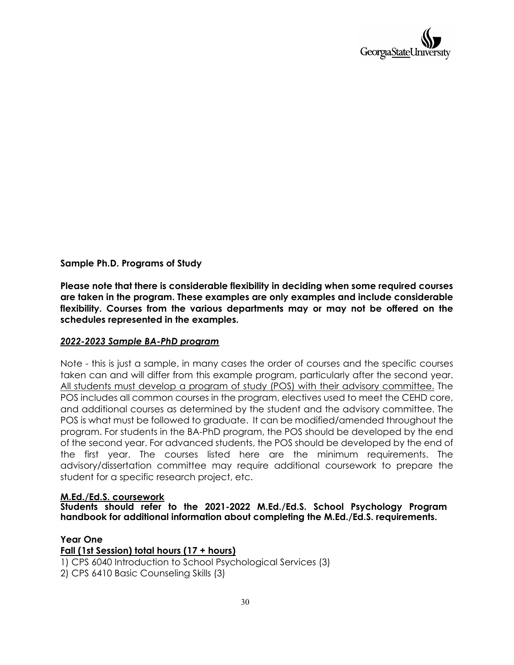

#### **Sample Ph.D. Programs of Study**

**Please note that there is considerable flexibility in deciding when some required courses are taken in the program. These examples are only examples and include considerable flexibility. Courses from the various departments may or may not be offered on the schedules represented in the examples.** 

#### *2022-2023 Sample BA-PhD program*

Note - this is just a sample, in many cases the order of courses and the specific courses taken can and will differ from this example program, particularly after the second year. All students must develop a program of study (POS) with their advisory committee. The POS includes all common courses in the program, electives used to meet the CEHD core, and additional courses as determined by the student and the advisory committee. The POS is what must be followed to graduate. It can be modified/amended throughout the program. For students in the BA-PhD program, the POS should be developed by the end of the second year. For advanced students, the POS should be developed by the end of the first year. The courses listed here are the minimum requirements. The advisory/dissertation committee may require additional coursework to prepare the student for a specific research project, etc.

#### **M.Ed./Ed.S. coursework**

**Students should refer to the 2021-2022 M.Ed./Ed.S. School Psychology Program handbook for additional information about completing the M.Ed./Ed.S. requirements.**

#### **Year One**

**Fall (1st Session) total hours (17 + hours)** 1) CPS 6040 Introduction to School Psychological Services (3) 2) CPS 6410 Basic Counseling Skills (3)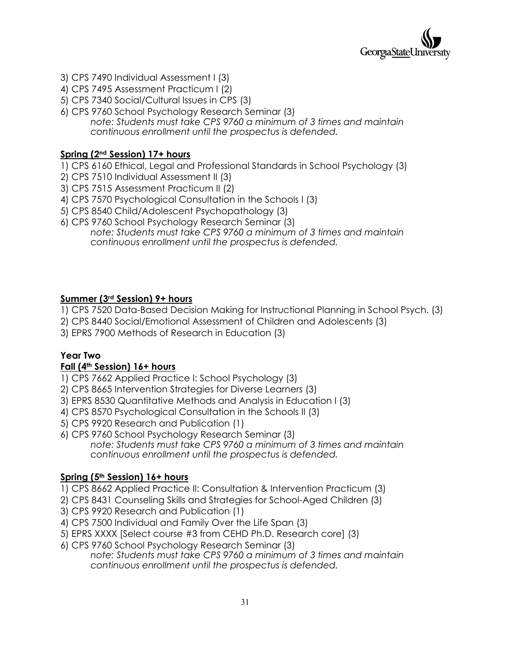

- 3) CPS 7490 Individual Assessment I (3)
- 4) CPS 7495 Assessment Practicum I (2)
- 5) CPS 7340 Social/Cultural Issues in CPS (3)
- 6) CPS 9760 School Psychology Research Seminar (3) *note: Students must take CPS 9760 a minimum of 3 times and maintain continuous enrollment until the prospectus is defended.*

#### **Spring (2nd Session) 17+ hours**

- 1) CPS 6160 Ethical, Legal and Professional Standards in School Psychology (3)
- 2) CPS 7510 Individual Assessment II (3)
- 3) CPS 7515 Assessment Practicum II (2)
- 4) CPS 7570 Psychological Consultation in the Schools I (3)
- 5) CPS 8540 Child/Adolescent Psychopathology (3)
- 6) CPS 9760 School Psychology Research Seminar (3) *note: Students must take CPS 9760 a minimum of 3 times and maintain continuous enrollment until the prospectus is defended.*

#### **Summer (3rd Session) 9+ hours**

- 1) CPS 7520 Data-Based Decision Making for Instructional Planning in School Psych. (3)
- 2) CPS 8440 Social/Emotional Assessment of Children and Adolescents (3)
- 3) EPRS 7900 Methods of Research in Education (3)

#### **Year Two**

#### **Fall (4th Session) 16+ hours**

- 1) CPS 7662 Applied Practice I: School Psychology (3)
- 2) CPS 8665 Intervention Strategies for Diverse Learners (3)
- 3) EPRS 8530 Quantitative Methods and Analysis in Education I (3)
- 4) CPS 8570 Psychological Consultation in the Schools II (3)
- 5) CPS 9920 Research and Publication (1)
- 6) CPS 9760 School Psychology Research Seminar (3) *note: Students must take CPS 9760 a minimum of 3 times and maintain continuous enrollment until the prospectus is defended.*

#### **Spring (5th Session) 16+ hours**

- 1) CPS 8662 Applied Practice II: Consultation & Intervention Practicum (3)
- 2) CPS 8431 Counseling Skills and Strategies for School-Aged Children (3)
- 3) CPS 9920 Research and Publication (1)
- 4) CPS 7500 Individual and Family Over the Life Span (3)
- 5) EPRS XXXX [Select course #3 from CEHD Ph.D. Research core] (3)
- 6) CPS 9760 School Psychology Research Seminar (3) *note: Students must take CPS 9760 a minimum of 3 times and maintain continuous enrollment until the prospectus is defended.*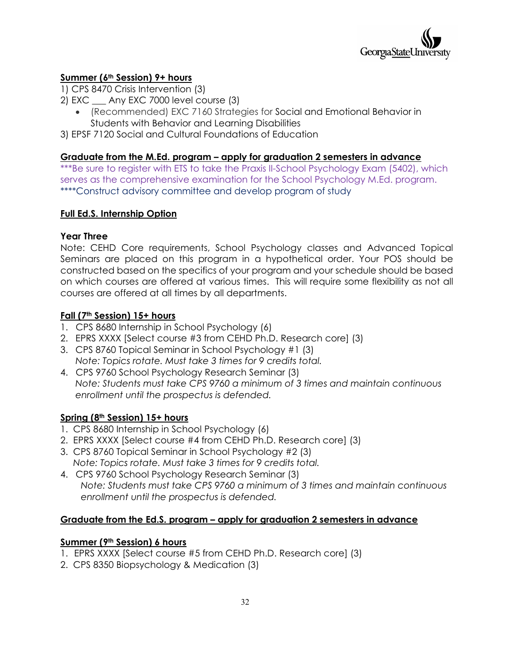

#### **Summer (6th Session) 9+ hours**

- 1) CPS 8470 Crisis Intervention (3)
- 2) EXC \_\_\_ Any EXC 7000 level course (3)
	- (Recommended) EXC 7160 Strategies for Social and Emotional Behavior in Students with Behavior and Learning Disabilities

3) EPSF 7120 Social and Cultural Foundations of Education

#### **Graduate from the M.Ed. program – apply for graduation 2 semesters in advance**

\*\*\*Be sure to register with ETS to take the Praxis II-School Psychology Exam (5402), which serves as the comprehensive examination for the School Psychology M.Ed. program. \*\*\*\*Construct advisory committee and develop program of study

#### **Full Ed.S. Internship Option**

#### **Year Three**

Note: CEHD Core requirements, School Psychology classes and Advanced Topical Seminars are placed on this program in a hypothetical order. Your POS should be constructed based on the specifics of your program and your schedule should be based on which courses are offered at various times. This will require some flexibility as not all courses are offered at all times by all departments.

#### **Fall (7th Session) 15+ hours**

- 1. CPS 8680 Internship in School Psychology (6)
- 2. EPRS XXXX [Select course #3 from CEHD Ph.D. Research core] (3)
- 3. CPS 8760 Topical Seminar in School Psychology #1 (3) *Note: Topics rotate. Must take 3 times for 9 credits total.*
- 4. CPS 9760 School Psychology Research Seminar (3) *Note: Students must take CPS 9760 a minimum of 3 times and maintain continuous enrollment until the prospectus is defended.*

#### **Spring (8th Session) 15+ hours**

- 1. CPS 8680 Internship in School Psychology (6)
- 2. EPRS XXXX [Select course #4 from CEHD Ph.D. Research core] (3)
- 3. CPS 8760 Topical Seminar in School Psychology #2 (3) *Note: Topics rotate. Must take 3 times for 9 credits total.*
- 4. CPS 9760 School Psychology Research Seminar (3) *Note: Students must take CPS 9760 a minimum of 3 times and maintain continuous enrollment until the prospectus is defended.*

#### **Graduate from the Ed.S. program – apply for graduation 2 semesters in advance**

#### **Summer (9th Session) 6 hours**

- 1. EPRS XXXX [Select course #5 from CEHD Ph.D. Research core] (3)
- 2. CPS 8350 Biopsychology & Medication (3)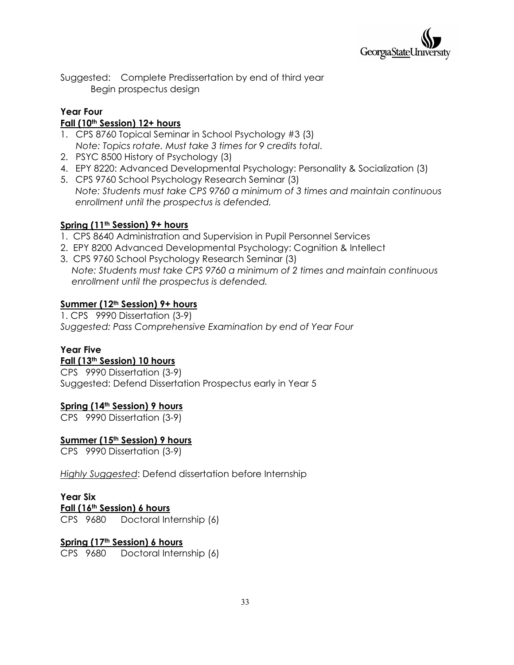

Suggested: Complete Predissertation by end of third year Begin prospectus design

### **Year Four**

#### **Fall (10th Session) 12+ hours**

- 1. CPS 8760 Topical Seminar in School Psychology #3 (3) *Note: Topics rotate. Must take 3 times for 9 credits total*.
- 2. PSYC 8500 History of Psychology (3)
- 4. EPY 8220: Advanced Developmental Psychology: Personality & Socialization (3)
- 5. CPS 9760 School Psychology Research Seminar (3) *Note: Students must take CPS 9760 a minimum of 3 times and maintain continuous enrollment until the prospectus is defended.*

### **Spring (11th Session) 9+ hours**

- 1. CPS 8640 Administration and Supervision in Pupil Personnel Services
- 2. EPY 8200 Advanced Developmental Psychology: Cognition & Intellect
- 3. CPS 9760 School Psychology Research Seminar (3) *Note: Students must take CPS 9760 a minimum of 2 times and maintain continuous enrollment until the prospectus is defended.*

### **Summer (12th Session) 9+ hours**

1. CPS 9990 Dissertation (3-9) *Suggested: Pass Comprehensive Examination by end of Year Four*

### **Year Five**

#### **Fall (13th Session) 10 hours**

CPS 9990 Dissertation (3-9) Suggested: Defend Dissertation Prospectus early in Year 5

### **Spring (14th Session) 9 hours**

CPS 9990 Dissertation (3-9)

### **Summer (15th Session) 9 hours**

CPS 9990 Dissertation (3-9)

*Highly Suggested*: Defend dissertation before Internship

### **Year Six**

#### **Fall (16th Session) 6 hours**

CPS 9680 Doctoral Internship (6)

### **Spring (17th Session) 6 hours**

CPS 9680 Doctoral Internship (6)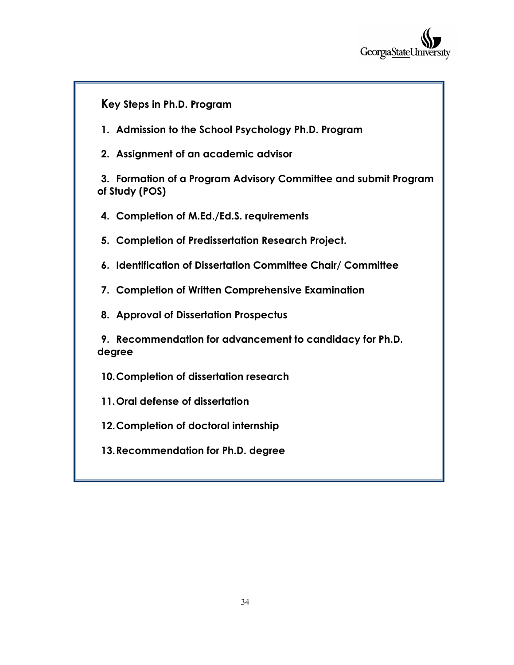

**Key Steps in Ph.D. Program 1. Admission to the School Psychology Ph.D. Program 2. Assignment of an academic advisor 3. Formation of a Program Advisory Committee and submit Program of Study (POS) 4. Completion of M.Ed./Ed.S. requirements 5. Completion of Predissertation Research Project. 6. Identification of Dissertation Committee Chair/ Committee 7. Completion of Written Comprehensive Examination 8. Approval of Dissertation Prospectus 9. Recommendation for advancement to candidacy for Ph.D. degree 10.Completion of dissertation research 11.Oral defense of dissertation 12.Completion of doctoral internship 13.Recommendation for Ph.D. degree**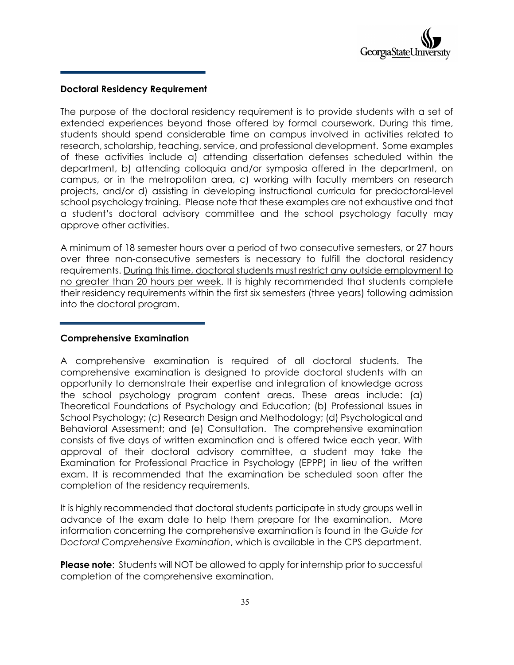

#### **Doctoral Residency Requirement**

The purpose of the doctoral residency requirement is to provide students with a set of extended experiences beyond those offered by formal coursework. During this time, students should spend considerable time on campus involved in activities related to research, scholarship, teaching, service, and professional development. Some examples of these activities include a) attending dissertation defenses scheduled within the department, b) attending colloquia and/or symposia offered in the department, on campus, or in the metropolitan area, c) working with faculty members on research projects, and/or d) assisting in developing instructional curricula for predoctoral-level school psychology training. Please note that these examples are not exhaustive and that a student's doctoral advisory committee and the school psychology faculty may approve other activities.

A minimum of 18 semester hours over a period of two consecutive semesters, or 27 hours over three non-consecutive semesters is necessary to fulfill the doctoral residency requirements. During this time, doctoral students must restrict any outside employment to no greater than 20 hours per week. It is highly recommended that students complete their residency requirements within the first six semesters (three years) following admission into the doctoral program.

#### **Comprehensive Examination**

A comprehensive examination is required of all doctoral students. The comprehensive examination is designed to provide doctoral students with an opportunity to demonstrate their expertise and integration of knowledge across the school psychology program content areas. These areas include: (a) Theoretical Foundations of Psychology and Education; (b) Professional Issues in School Psychology; (c) Research Design and Methodology; (d) Psychological and Behavioral Assessment; and (e) Consultation. The comprehensive examination consists of five days of written examination and is offered twice each year. With approval of their doctoral advisory committee, a student may take the Examination for Professional Practice in Psychology (EPPP) in lieu of the written exam. It is recommended that the examination be scheduled soon after the completion of the residency requirements.

It is highly recommended that doctoral students participate in study groups well in advance of the exam date to help them prepare for the examination. More information concerning the comprehensive examination is found in the *Guide for Doctoral Comprehensive Examination*, which is available in the CPS department.

**Please note**: Students will NOT be allowed to apply for internship prior to successful completion of the comprehensive examination.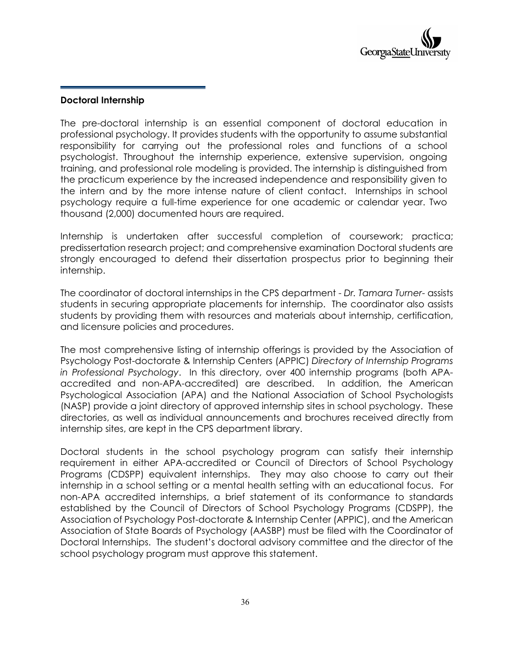#### **Doctoral Internship**

The pre-doctoral internship is an essential component of doctoral education in professional psychology. It provides students with the opportunity to assume substantial responsibility for carrying out the professional roles and functions of a school psychologist. Throughout the internship experience, extensive supervision, ongoing training, and professional role modeling is provided. The internship is distinguished from the practicum experience by the increased independence and responsibility given to the intern and by the more intense nature of client contact. Internships in school psychology require a full-time experience for one academic or calendar year. Two thousand (2,000) documented hours are required.

Internship is undertaken after successful completion of coursework; practica; predissertation research project; and comprehensive examination Doctoral students are strongly encouraged to defend their dissertation prospectus prior to beginning their internship.

The coordinator of doctoral internships in the CPS department - *Dr. Tamara Turner*- assists students in securing appropriate placements for internship. The coordinator also assists students by providing them with resources and materials about internship, certification, and licensure policies and procedures.

The most comprehensive listing of internship offerings is provided by the Association of Psychology Post-doctorate & Internship Centers (APPIC) *Directory of Internship Programs in Professional Psychology*. In this directory, over 400 internship programs (both APAaccredited and non-APA-accredited) are described. In addition, the American Psychological Association (APA) and the National Association of School Psychologists (NASP) provide a joint directory of approved internship sites in school psychology. These directories, as well as individual announcements and brochures received directly from internship sites, are kept in the CPS department library.

Doctoral students in the school psychology program can satisfy their internship requirement in either APA-accredited or Council of Directors of School Psychology Programs (CDSPP) equivalent internships. They may also choose to carry out their internship in a school setting or a mental health setting with an educational focus. For non-APA accredited internships, a brief statement of its conformance to standards established by the Council of Directors of School Psychology Programs (CDSPP), the Association of Psychology Post-doctorate & Internship Center (APPIC), and the American Association of State Boards of Psychology (AASBP) must be filed with the Coordinator of Doctoral Internships. The student's doctoral advisory committee and the director of the school psychology program must approve this statement.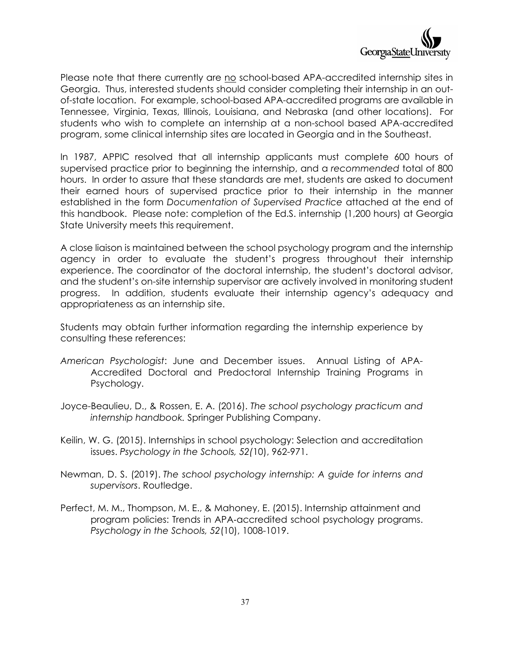

Please note that there currently are no school-based APA-accredited internship sites in Georgia. Thus, interested students should consider completing their internship in an outof-state location. For example, school-based APA-accredited programs are available in Tennessee, Virginia, Texas, Illinois, Louisiana, and Nebraska (and other locations). For students who wish to complete an internship at a non-school based APA-accredited program, some clinical internship sites are located in Georgia and in the Southeast.

In 1987, APPIC resolved that all internship applicants must complete 600 hours of supervised practice prior to beginning the internship, and a *recommended* total of 800 hours. In order to assure that these standards are met, students are asked to document their earned hours of supervised practice prior to their internship in the manner established in the form *Documentation of Supervised Practice* attached at the end of this handbook. Please note: completion of the Ed.S. internship (1,200 hours) at Georgia State University meets this requirement.

A close liaison is maintained between the school psychology program and the internship agency in order to evaluate the student's progress throughout their internship experience. The coordinator of the doctoral internship, the student's doctoral advisor, and the student's on-site internship supervisor are actively involved in monitoring student progress. In addition, students evaluate their internship agency's adequacy and appropriateness as an internship site.

Students may obtain further information regarding the internship experience by consulting these references:

- *American Psychologist*: June and December issues. Annual Listing of APA-Accredited Doctoral and Predoctoral Internship Training Programs in Psychology.
- Joyce-Beaulieu, D., & Rossen, E. A. (2016). *The school psychology practicum and internship handbook.* Springer Publishing Company.
- Keilin, W. G. (2015). Internships in school psychology: Selection and accreditation issues. *Psychology in the Schools, 52(*10), 962-971.
- Newman, D. S. (2019). *The school psychology internship: A guide for interns and supervisors*. Routledge.
- Perfect, M. M., Thompson, M. E., & Mahoney, E. (2015). Internship attainment and program policies: Trends in APA‐accredited school psychology programs. *Psychology in the Schools, 52*(10), 1008-1019.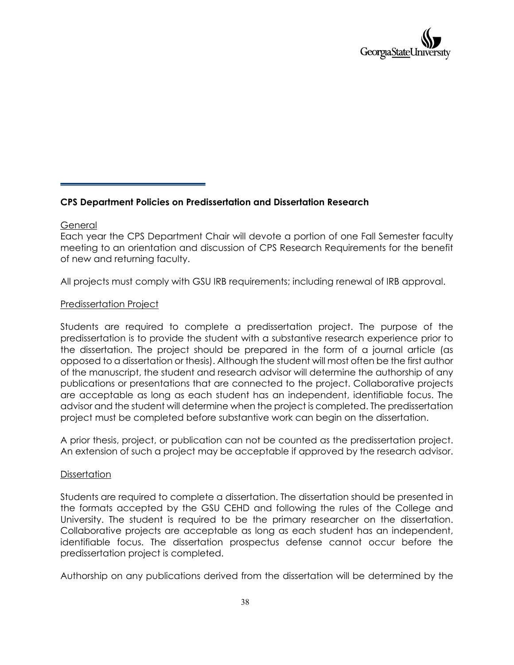

#### **CPS Department Policies on Predissertation and Dissertation Research**

#### General

Each year the CPS Department Chair will devote a portion of one Fall Semester faculty meeting to an orientation and discussion of CPS Research Requirements for the benefit of new and returning faculty.

All projects must comply with GSU IRB requirements; including renewal of IRB approval.

#### Predissertation Project

Students are required to complete a predissertation project. The purpose of the predissertation is to provide the student with a substantive research experience prior to the dissertation. The project should be prepared in the form of a journal article (as opposed to a dissertation or thesis). Although the student will most often be the first author of the manuscript, the student and research advisor will determine the authorship of any publications or presentations that are connected to the project. Collaborative projects are acceptable as long as each student has an independent, identifiable focus. The advisor and the student will determine when the project is completed. The predissertation project must be completed before substantive work can begin on the dissertation.

A prior thesis, project, or publication can not be counted as the predissertation project. An extension of such a project may be acceptable if approved by the research advisor.

#### **Dissertation**

Students are required to complete a dissertation. The dissertation should be presented in the formats accepted by the GSU CEHD and following the rules of the College and University. The student is required to be the primary researcher on the dissertation. Collaborative projects are acceptable as long as each student has an independent, identifiable focus. The dissertation prospectus defense cannot occur before the predissertation project is completed.

Authorship on any publications derived from the dissertation will be determined by the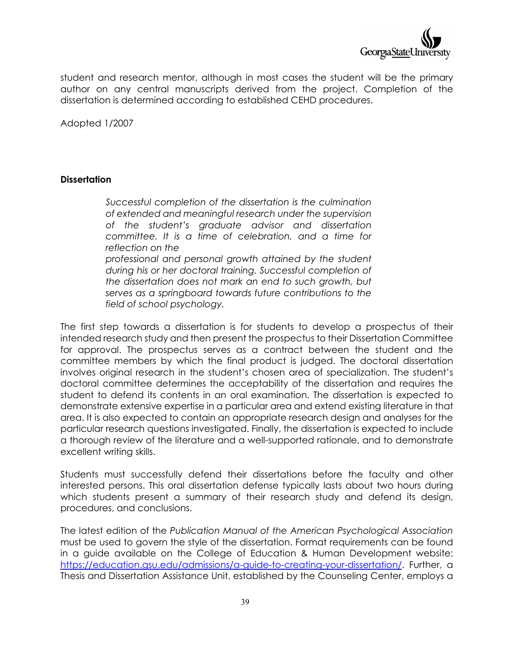

student and research mentor, although in most cases the student will be the primary author on any central manuscripts derived from the project. Completion of the dissertation is determined according to established CEHD procedures.

Adopted 1/2007

#### **Dissertation**

*Successful completion of the dissertation is the culmination of extended and meaningful research under the supervision of the student's graduate advisor and dissertation committee. It is a time of celebration, and a time for reflection on the professional and personal growth attained by the student during his or her doctoral training. Successful completion of the dissertation does not mark an end to such growth, but serves as a springboard towards future contributions to the field of school psychology.*

The first step towards a dissertation is for students to develop a prospectus of their intended research study and then present the prospectus to their Dissertation Committee for approval. The prospectus serves as a contract between the student and the committee members by which the final product is judged. The doctoral dissertation involves original research in the student's chosen area of specialization. The student's doctoral committee determines the acceptability of the dissertation and requires the student to defend its contents in an oral examination. The dissertation is expected to demonstrate extensive expertise in a particular area and extend existing literature in that area. It is also expected to contain an appropriate research design and analyses for the particular research questions investigated. Finally, the dissertation is expected to include a thorough review of the literature and a well-supported rationale, and to demonstrate excellent writing skills.

Students must successfully defend their dissertations before the faculty and other interested persons. This oral dissertation defense typically lasts about two hours during which students present a summary of their research study and defend its design, procedures, and conclusions.

The latest edition of the *Publication Manual of the American Psychological Association* must be used to govern the style of the dissertation. Format requirements can be found in a guide available on the College of Education & Human Development website: [https://education.gsu.edu/admissions/a-guide-to-creating-your-dissertation/.](https://education.gsu.edu/admissions/a-guide-to-creating-your-dissertation/) Further, a Thesis and Dissertation Assistance Unit, established by the Counseling Center, employs a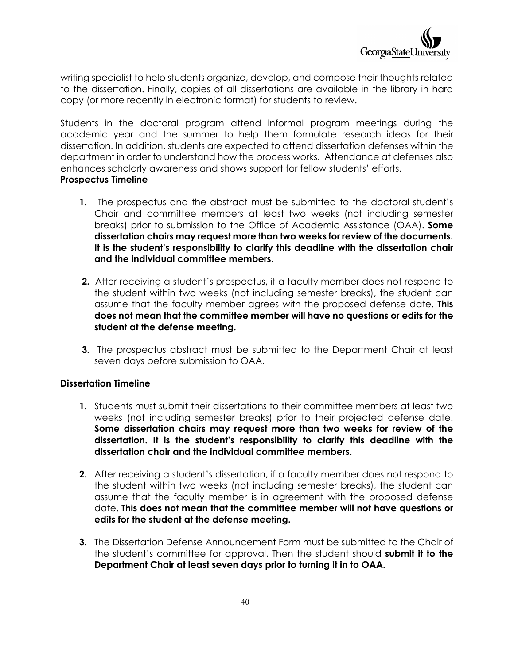

writing specialist to help students organize, develop, and compose their thoughts related to the dissertation. Finally, copies of all dissertations are available in the library in hard copy (or more recently in electronic format) for students to review.

Students in the doctoral program attend informal program meetings during the academic year and the summer to help them formulate research ideas for their dissertation. In addition, students are expected to attend dissertation defenses within the department in order to understand how the process works. Attendance at defenses also enhances scholarly awareness and shows support for fellow students' efforts. **Prospectus Timeline**

- **1.** The prospectus and the abstract must be submitted to the doctoral student's Chair and committee members at least two weeks (not including semester breaks) prior to submission to the Office of Academic Assistance (OAA). **Some dissertation chairs may request more than two weeks for review of the documents. It is the student's responsibility to clarify this deadline with the dissertation chair and the individual committee members.**
- **2.** After receiving a student's prospectus, if a faculty member does not respond to the student within two weeks (not including semester breaks), the student can assume that the faculty member agrees with the proposed defense date. **This does not mean that the committee member will have no questions or edits for the student at the defense meeting.**
- **3.** The prospectus abstract must be submitted to the Department Chair at least seven days before submission to OAA.

#### **Dissertation Timeline**

- **1.** Students must submit their dissertations to their committee members at least two weeks (not including semester breaks) prior to their projected defense date. **Some dissertation chairs may request more than two weeks for review of the dissertation. It is the student's responsibility to clarify this deadline with the dissertation chair and the individual committee members.**
- **2.** After receiving a student's dissertation, if a faculty member does not respond to the student within two weeks (not including semester breaks), the student can assume that the faculty member is in agreement with the proposed defense date. **This does not mean that the committee member will not have questions or edits for the student at the defense meeting.**
- **3.** The Dissertation Defense Announcement Form must be submitted to the Chair of the student's committee for approval. Then the student should **submit it to the Department Chair at least seven days prior to turning it in to OAA.**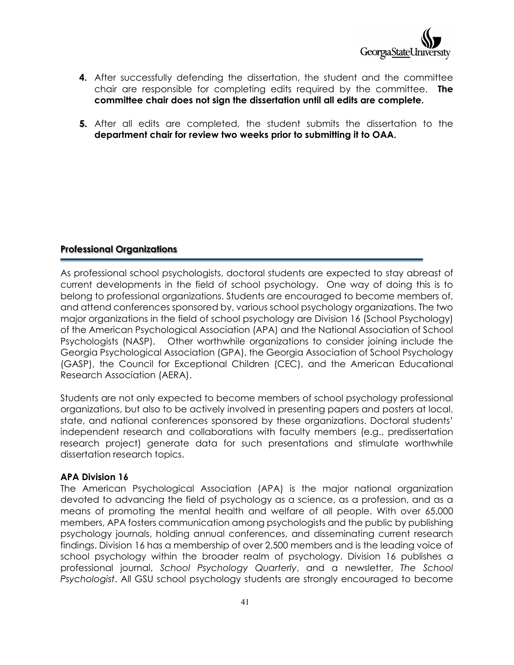

- **4.** After successfully defending the dissertation, the student and the committee chair are responsible for completing edits required by the committee. **The committee chair does not sign the dissertation until all edits are complete.**
- **5.** After all edits are completed, the student submits the dissertation to the **d epa rtment chair for review two weeks prior to submitting it to OAA.**

#### **Professional Organizations**

As professional school psychologists, doctoral students are expected to stay abreast of current developments in the field of school psychology. One way of doing this is to belong to professional organizations. Students are encouraged to become members of, and attend conferences sponsored by, various school psychology organizations. The two major organizations in the field of school psychology are Division 16 (School Psychology) of the American Psychological Association (APA) and the National Association of School Psychologists (NASP). Other worthwhile organizations to consider joining include the Georgia Psychological Association (GPA), the Georgia Association of School Psychology (GASP), the Council for Exceptional Children (CEC), and the American Educational Research Association (AERA).

Students are not only expected to become members of school psychology professional organizations, but also to be actively involved in presenting papers and posters at local, state, and national conferences sponsored by these organizations. Doctoral students' independent research and collaborations with faculty members (e.g., predissertation research project) generate data for such presentations and stimulate worthwhile dissertation research topics.

#### **APA Division 16**

The American Psychological Association (APA) is the major national organization devoted to advancing the field of psychology as a science, as a profession, and as a means of promoting the mental health and welfare of all people. With over 65,000 members, APA fosters communication among psychologists and the public by publishing psychology journals, holding annual conferences, and disseminating current research findings. Division 16 has a membership of over 2,500 members and is the leading voice of school psychology within the broader realm of psychology. Division 16 publishes a professional journal, *School Psychology Quarterly*, and a newsletter, *The School Psychologist*. All GSU school psychology students are strongly encouraged to become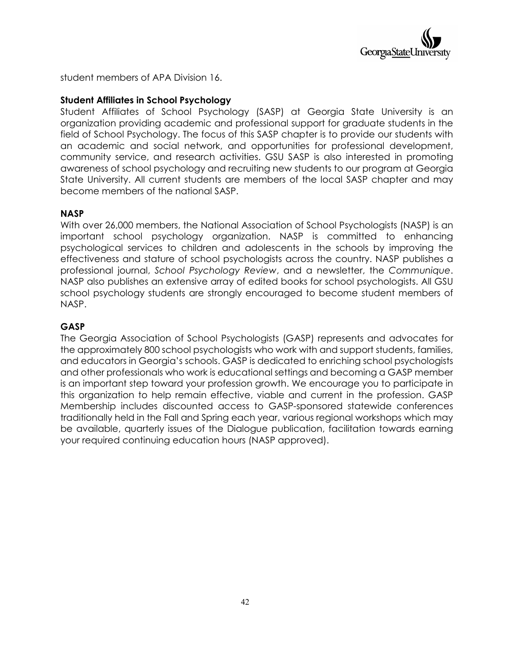

student members of APA Division 16.

#### **Student Affiliates in School Psychology**

Student Affiliates of School Psychology (SASP) at Georgia State University is an organization providing academic and professional support for graduate students in the field of School Psychology. The focus of this SASP chapter is to provide our students with an academic and social network, and opportunities for professional development, community service, and research activities. GSU SASP is also interested in promoting awareness of school psychology and recruiting new students to our program at Georgia State University. All current students are members of the local SASP chapter and may become members of the national SASP.

#### **NASP**

With over 26,000 members, the National Association of School Psychologists (NASP) is an important school psychology organization. NASP is committed to enhancing psychological services to children and adolescents in the schools by improving the effectiveness and stature of school psychologists across the country. NASP publishes a professional journal, *School Psychology Review*, and a newsletter, the *Communique*. NASP also publishes an extensive array of edited books for school psychologists. All GSU school psychology students are strongly encouraged to become student members of NASP.

#### **GASP**

The Georgia Association of School Psychologists (GASP) represents and advocates for the approximately 800 school psychologists who work with and support students, families, and educators in Georgia's schools. GASP is dedicated to enriching school psychologists and other professionals who work is educational settings and becoming a GASP member is an important step toward your profession growth. We encourage you to participate in this organization to help remain effective, viable and current in the profession. GASP Membership includes discounted access to GASP-sponsored statewide conferences traditionally held in the Fall and Spring each year, various regional workshops which may be available, quarterly issues of the Dialogue publication, facilitation towards earning your required continuing education hours (NASP approved).